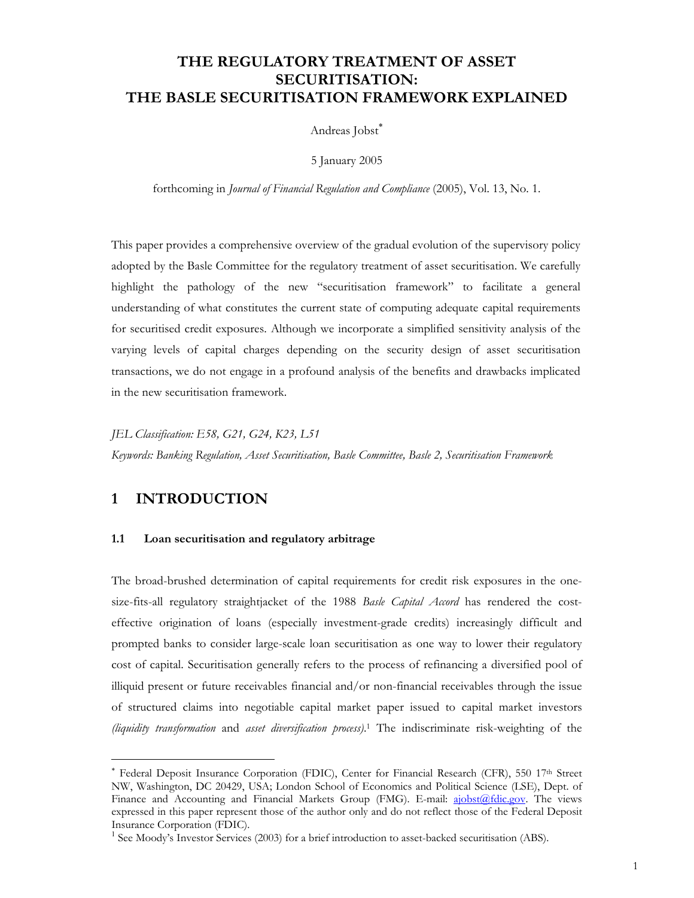# **THE REGULATORY TREATMENT OF ASSET SECURITISATION: THE BASLE SECURITISATION FRAMEWORK EXPLAINED**

Andreas Jobst<sup>\*</sup>

5 January 2005

forthcoming in *Journal of Financial Regulation and Compliance* (2005), Vol. 13, No. 1.

This paper provides a comprehensive overview of the gradual evolution of the supervisory policy adopted by the Basle Committee for the regulatory treatment of asset securitisation. We carefully highlight the pathology of the new "securitisation framework" to facilitate a general understanding of what constitutes the current state of computing adequate capital requirements for securitised credit exposures. Although we incorporate a simplified sensitivity analysis of the varying levels of capital charges depending on the security design of asset securitisation transactions, we do not engage in a profound analysis of the benefits and drawbacks implicated in the new securitisation framework.

*JEL Classification: E58, G21, G24, K23, L51*

*Keywords: Banking Regulation, Asset Securitisation, Basle Committee, Basle 2, Securitisation Framework*

# **1 INTRODUCTION**

 $\overline{a}$ 

#### **1.1 Loan securitisation and regulatory arbitrage**

The broad-brushed determination of capital requirements for credit risk exposures in the onesize-fits-all regulatory straightjacket of the 1988 *Basle Capital Accord* has rendered the costeffective origination of loans (especially investment-grade credits) increasingly difficult and prompted banks to consider large-scale loan securitisation as one way to lower their regulatory cost of capital. Securitisation generally refers to the process of refinancing a diversified pool of illiquid present or future receivables financial and/or non-financial receivables through the issue of structured claims into negotiable capital market paper issued to capital market investors *(liquidity transformation* and *asset diversification process)*. 1 The indiscriminate risk-weighting of the

<sup>∗</sup> Federal Deposit Insurance Corporation (FDIC), Center for Financial Research (CFR), 550 17th Street NW, Washington, DC 20429, USA; London School of Economics and Political Science (LSE), Dept. of Finance and Accounting and Financial Markets Group (FMG). E-mail: ajobst@fdic.gov. The views expressed in this paper represent those of the author only and do not reflect those of the Federal Deposit Insurance Corporation (FDIC).

<sup>&</sup>lt;sup>1</sup> See Moody's Investor Services (2003) for a brief introduction to asset-backed securitisation (ABS).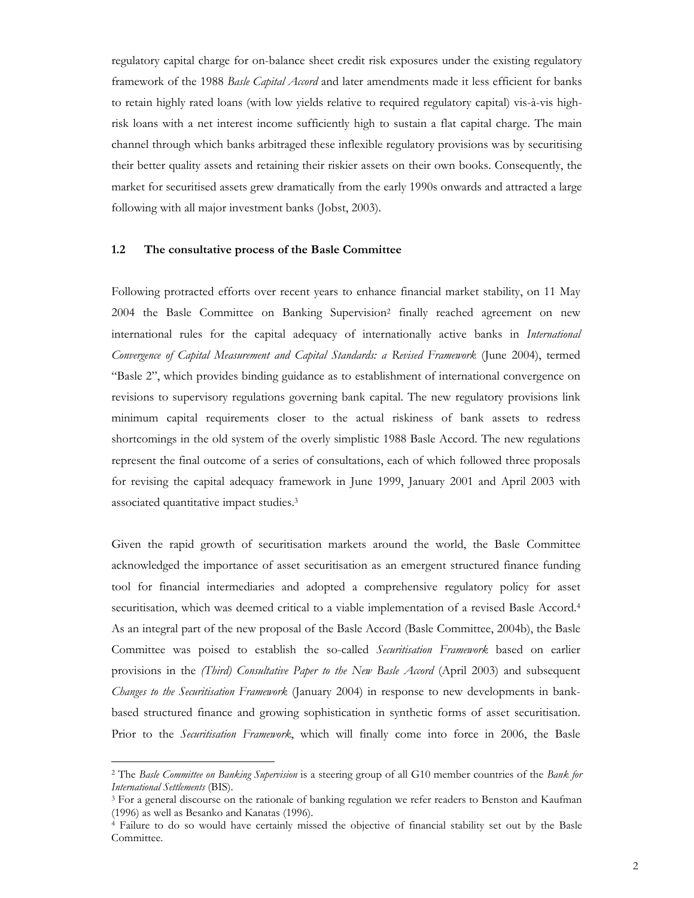regulatory capital charge for on-balance sheet credit risk exposures under the existing regulatory framework of the 1988 *Basle Capital Accord* and later amendments made it less efficient for banks to retain highly rated loans (with low yields relative to required regulatory capital) vis-à-vis highrisk loans with a net interest income sufficiently high to sustain a flat capital charge. The main channel through which banks arbitraged these inflexible regulatory provisions was by securitising their better quality assets and retaining their riskier assets on their own books. Consequently, the market for securitised assets grew dramatically from the early 1990s onwards and attracted a large following with all major investment banks (Jobst, 2003).

### **1.2 The consultative process of the Basle Committee**

Following protracted efforts over recent years to enhance financial market stability, on 11 May 2004 the Basle Committee on Banking Supervision2 finally reached agreement on new international rules for the capital adequacy of internationally active banks in *International Convergence of Capital Measurement and Capital Standards: a Revised Framework* (June 2004), termed "Basle 2", which provides binding guidance as to establishment of international convergence on revisions to supervisory regulations governing bank capital. The new regulatory provisions link minimum capital requirements closer to the actual riskiness of bank assets to redress shortcomings in the old system of the overly simplistic 1988 Basle Accord. The new regulations represent the final outcome of a series of consultations, each of which followed three proposals for revising the capital adequacy framework in June 1999, January 2001 and April 2003 with associated quantitative impact studies.3

Given the rapid growth of securitisation markets around the world, the Basle Committee acknowledged the importance of asset securitisation as an emergent structured finance funding tool for financial intermediaries and adopted a comprehensive regulatory policy for asset securitisation, which was deemed critical to a viable implementation of a revised Basle Accord.<sup>4</sup> As an integral part of the new proposal of the Basle Accord (Basle Committee, 2004b), the Basle Committee was poised to establish the so-called *Securitisation Framework* based on earlier provisions in the *(Third) Consultative Paper to the New Basle Accord* (April 2003) and subsequent *Changes to the Securitisation Framework* (January 2004) in response to new developments in bankbased structured finance and growing sophistication in synthetic forms of asset securitisation. Prior to the *Securitisation Framework*, which will finally come into force in 2006, the Basle

<sup>2</sup> The *Basle Committee on Banking Supervision* is a steering group of all G10 member countries of the *Bank for International Settlements* (BIS).

<sup>3</sup> For a general discourse on the rationale of banking regulation we refer readers to Benston and Kaufman (1996) as well as Besanko and Kanatas (1996).

<sup>4</sup> Failure to do so would have certainly missed the objective of financial stability set out by the Basle Committee.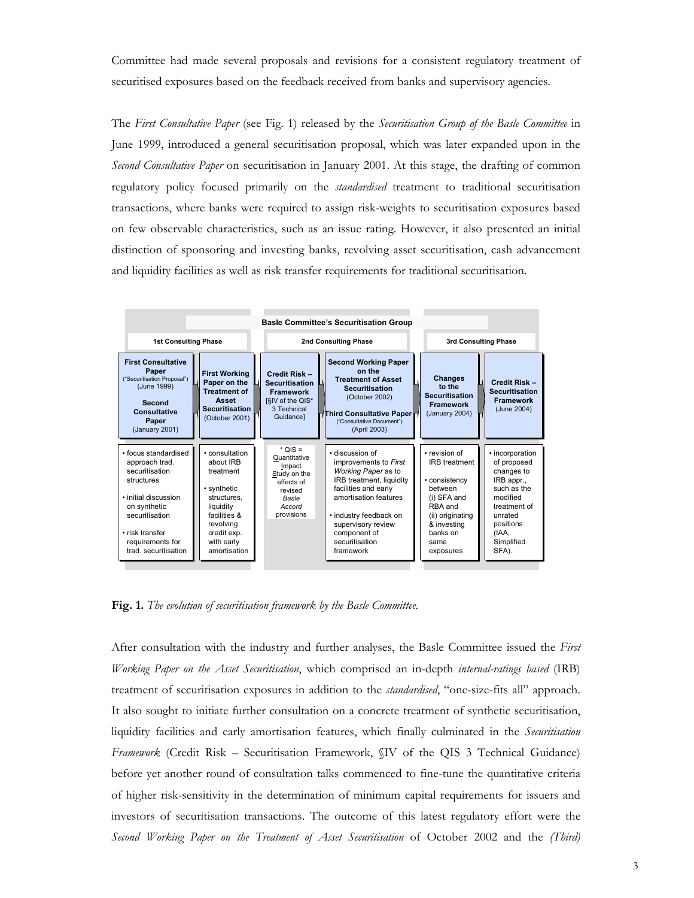Committee had made several proposals and revisions for a consistent regulatory treatment of securitised exposures based on the feedback received from banks and supervisory agencies.

The *First Consultative Paper* (see Fig. 1) released by the *Securitisation Group of the Basle Committee* in June 1999, introduced a general securitisation proposal, which was later expanded upon in the *Second Consultative Paper* on securitisation in January 2001. At this stage, the drafting of common regulatory policy focused primarily on the *standardised* treatment to traditional securitisation transactions, where banks were required to assign risk-weights to securitisation exposures based on few observable characteristics, such as an issue rating. However, it also presented an initial distinction of sponsoring and investing banks, revolving asset securitisation, cash advancement and liquidity facilities as well as risk transfer requirements for traditional securitisation.



**Fig. 1.** *The evolution of securitisation framework by the Basle Committee.*

After consultation with the industry and further analyses, the Basle Committee issued the *First Working Paper on the Asset Securitisation*, which comprised an in-depth *internal-ratings based* (IRB) treatment of securitisation exposures in addition to the *standardised*, "one-size-fits all" approach. It also sought to initiate further consultation on a concrete treatment of synthetic securitisation, liquidity facilities and early amortisation features, which finally culminated in the *Securitisation Framework* (Credit Risk – Securitisation Framework, §IV of the QIS 3 Technical Guidance) before yet another round of consultation talks commenced to fine-tune the quantitative criteria of higher risk-sensitivity in the determination of minimum capital requirements for issuers and investors of securitisation transactions. The outcome of this latest regulatory effort were the *Second Working Paper on the Treatment of Asset Securitisation* of October 2002 and the *(Third)*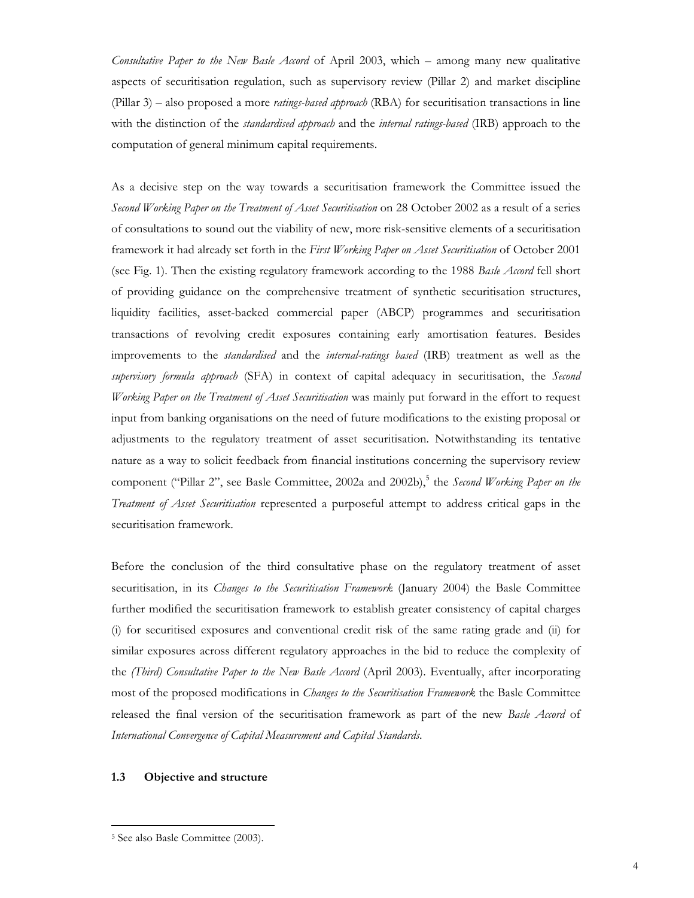*Consultative Paper to the New Basle Accord* of April 2003, which – among many new qualitative aspects of securitisation regulation, such as supervisory review (Pillar 2) and market discipline (Pillar 3) – also proposed a more *ratings-based approach* (RBA) for securitisation transactions in line with the distinction of the *standardised approach* and the *internal ratings-based* (IRB) approach to the computation of general minimum capital requirements.

As a decisive step on the way towards a securitisation framework the Committee issued the *Second Working Paper on the Treatment of Asset Securitisation* on 28 October 2002 as a result of a series of consultations to sound out the viability of new, more risk-sensitive elements of a securitisation framework it had already set forth in the *First Working Paper on Asset Securitisation* of October 2001 (see Fig. 1). Then the existing regulatory framework according to the 1988 *Basle Accord* fell short of providing guidance on the comprehensive treatment of synthetic securitisation structures, liquidity facilities, asset-backed commercial paper (ABCP) programmes and securitisation transactions of revolving credit exposures containing early amortisation features. Besides improvements to the *standardised* and the *internal-ratings based* (IRB) treatment as well as the *supervisory formula approach* (SFA) in context of capital adequacy in securitisation, the *Second Working Paper on the Treatment of Asset Securitisation* was mainly put forward in the effort to request input from banking organisations on the need of future modifications to the existing proposal or adjustments to the regulatory treatment of asset securitisation. Notwithstanding its tentative nature as a way to solicit feedback from financial institutions concerning the supervisory review component ("Pillar 2", see Basle Committee, 2002a and 2002b),<sup>5</sup> the *Second Working Paper on the Treatment of Asset Securitisation* represented a purposeful attempt to address critical gaps in the securitisation framework.

Before the conclusion of the third consultative phase on the regulatory treatment of asset securitisation, in its *Changes to the Securitisation Framework* (January 2004) the Basle Committee further modified the securitisation framework to establish greater consistency of capital charges (i) for securitised exposures and conventional credit risk of the same rating grade and (ii) for similar exposures across different regulatory approaches in the bid to reduce the complexity of the *(Third) Consultative Paper to the New Basle Accord* (April 2003). Eventually, after incorporating most of the proposed modifications in *Changes to the Securitisation Framework* the Basle Committee released the final version of the securitisation framework as part of the new *Basle Accord* of *International Convergence of Capital Measurement and Capital Standards*.

### **1.3 Objective and structure**

<sup>5</sup> See also Basle Committee (2003).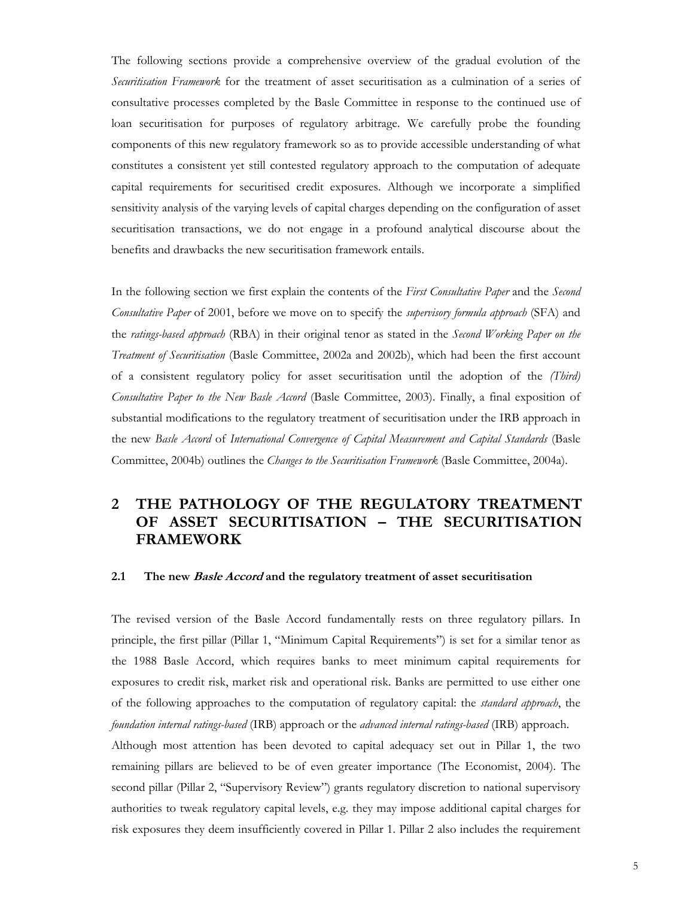The following sections provide a comprehensive overview of the gradual evolution of the *Securitisation Framework* for the treatment of asset securitisation as a culmination of a series of consultative processes completed by the Basle Committee in response to the continued use of loan securitisation for purposes of regulatory arbitrage. We carefully probe the founding components of this new regulatory framework so as to provide accessible understanding of what constitutes a consistent yet still contested regulatory approach to the computation of adequate capital requirements for securitised credit exposures. Although we incorporate a simplified sensitivity analysis of the varying levels of capital charges depending on the configuration of asset securitisation transactions, we do not engage in a profound analytical discourse about the benefits and drawbacks the new securitisation framework entails.

In the following section we first explain the contents of the *First Consultative Paper* and the *Second Consultative Paper* of 2001, before we move on to specify the *supervisory formula approach* (SFA) and the *ratings-based approach* (RBA) in their original tenor as stated in the *Second Working Paper on the Treatment of Securitisation* (Basle Committee, 2002a and 2002b), which had been the first account of a consistent regulatory policy for asset securitisation until the adoption of the *(Third) Consultative Paper to the New Basle Accord* (Basle Committee, 2003). Finally, a final exposition of substantial modifications to the regulatory treatment of securitisation under the IRB approach in the new *Basle Accord* of *International Convergence of Capital Measurement and Capital Standards* (Basle Committee, 2004b) outlines the *Changes to the Securitisation Framework* (Basle Committee, 2004a).

# **2 THE PATHOLOGY OF THE REGULATORY TREATMENT OF ASSET SECURITISATION – THE SECURITISATION FRAMEWORK**

#### **2.1 The new Basle Accord and the regulatory treatment of asset securitisation**

The revised version of the Basle Accord fundamentally rests on three regulatory pillars. In principle, the first pillar (Pillar 1, "Minimum Capital Requirements") is set for a similar tenor as the 1988 Basle Accord, which requires banks to meet minimum capital requirements for exposures to credit risk, market risk and operational risk. Banks are permitted to use either one of the following approaches to the computation of regulatory capital: the *standard approach*, the *foundation internal ratings-based* (IRB) approach or the *advanced internal ratings-based* (IRB) approach.

Although most attention has been devoted to capital adequacy set out in Pillar 1, the two remaining pillars are believed to be of even greater importance (The Economist, 2004). The second pillar (Pillar 2, "Supervisory Review") grants regulatory discretion to national supervisory authorities to tweak regulatory capital levels, e.g. they may impose additional capital charges for risk exposures they deem insufficiently covered in Pillar 1. Pillar 2 also includes the requirement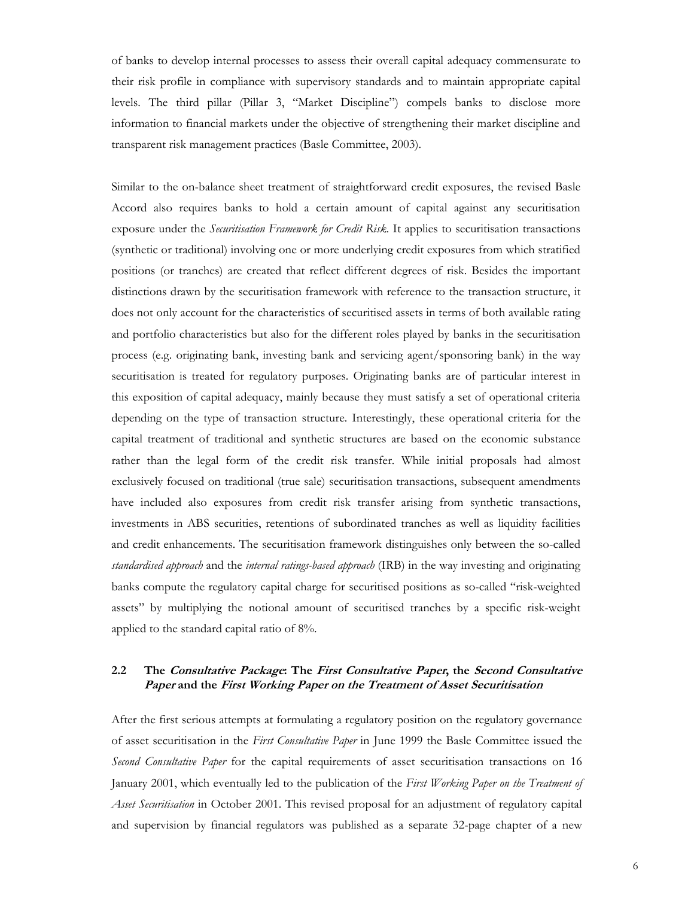of banks to develop internal processes to assess their overall capital adequacy commensurate to their risk profile in compliance with supervisory standards and to maintain appropriate capital levels. The third pillar (Pillar 3, "Market Discipline") compels banks to disclose more information to financial markets under the objective of strengthening their market discipline and transparent risk management practices (Basle Committee, 2003).

Similar to the on-balance sheet treatment of straightforward credit exposures, the revised Basle Accord also requires banks to hold a certain amount of capital against any securitisation exposure under the *Securitisation Framework for Credit Risk*. It applies to securitisation transactions (synthetic or traditional) involving one or more underlying credit exposures from which stratified positions (or tranches) are created that reflect different degrees of risk. Besides the important distinctions drawn by the securitisation framework with reference to the transaction structure, it does not only account for the characteristics of securitised assets in terms of both available rating and portfolio characteristics but also for the different roles played by banks in the securitisation process (e.g. originating bank, investing bank and servicing agent/sponsoring bank) in the way securitisation is treated for regulatory purposes. Originating banks are of particular interest in this exposition of capital adequacy, mainly because they must satisfy a set of operational criteria depending on the type of transaction structure. Interestingly, these operational criteria for the capital treatment of traditional and synthetic structures are based on the economic substance rather than the legal form of the credit risk transfer. While initial proposals had almost exclusively focused on traditional (true sale) securitisation transactions, subsequent amendments have included also exposures from credit risk transfer arising from synthetic transactions, investments in ABS securities, retentions of subordinated tranches as well as liquidity facilities and credit enhancements. The securitisation framework distinguishes only between the so-called *standardised approach* and the *internal ratings-based approach* (IRB) in the way investing and originating banks compute the regulatory capital charge for securitised positions as so-called "risk-weighted assets" by multiplying the notional amount of securitised tranches by a specific risk-weight applied to the standard capital ratio of 8%.

## **2.2 The Consultative Package: The First Consultative Paper, the Second Consultative Paper and the First Working Paper on the Treatment of Asset Securitisation**

After the first serious attempts at formulating a regulatory position on the regulatory governance of asset securitisation in the *First Consultative Paper* in June 1999 the Basle Committee issued the *Second Consultative Paper* for the capital requirements of asset securitisation transactions on 16 January 2001, which eventually led to the publication of the *First Working Paper on the Treatment of Asset Securitisation* in October 2001. This revised proposal for an adjustment of regulatory capital and supervision by financial regulators was published as a separate 32-page chapter of a new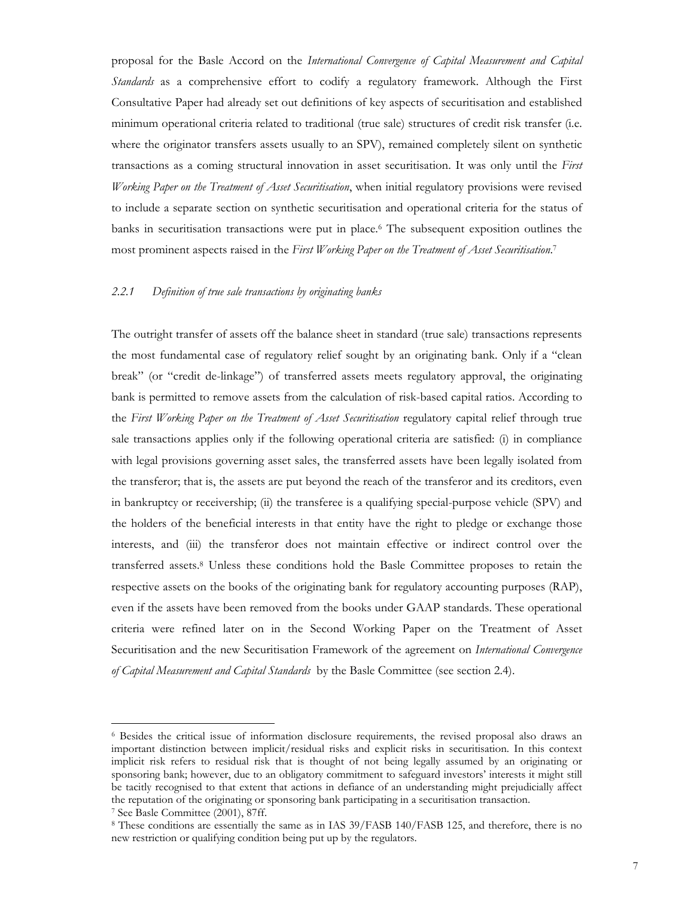proposal for the Basle Accord on the *International Convergence of Capital Measurement and Capital Standards* as a comprehensive effort to codify a regulatory framework. Although the First Consultative Paper had already set out definitions of key aspects of securitisation and established minimum operational criteria related to traditional (true sale) structures of credit risk transfer (i.e. where the originator transfers assets usually to an SPV), remained completely silent on synthetic transactions as a coming structural innovation in asset securitisation. It was only until the *First Working Paper on the Treatment of Asset Securitisation*, when initial regulatory provisions were revised to include a separate section on synthetic securitisation and operational criteria for the status of banks in securitisation transactions were put in place.6 The subsequent exposition outlines the most prominent aspects raised in the *First Working Paper on the Treatment of Asset Securitisation*. 7

### *2.2.1 Definition of true sale transactions by originating banks*

The outright transfer of assets off the balance sheet in standard (true sale) transactions represents the most fundamental case of regulatory relief sought by an originating bank. Only if a "clean break" (or "credit de-linkage") of transferred assets meets regulatory approval, the originating bank is permitted to remove assets from the calculation of risk-based capital ratios. According to the *First Working Paper on the Treatment of Asset Securitisation* regulatory capital relief through true sale transactions applies only if the following operational criteria are satisfied: (i) in compliance with legal provisions governing asset sales, the transferred assets have been legally isolated from the transferor; that is, the assets are put beyond the reach of the transferor and its creditors, even in bankruptcy or receivership; (ii) the transferee is a qualifying special-purpose vehicle (SPV) and the holders of the beneficial interests in that entity have the right to pledge or exchange those interests, and (iii) the transferor does not maintain effective or indirect control over the transferred assets.8 Unless these conditions hold the Basle Committee proposes to retain the respective assets on the books of the originating bank for regulatory accounting purposes (RAP), even if the assets have been removed from the books under GAAP standards. These operational criteria were refined later on in the Second Working Paper on the Treatment of Asset Securitisation and the new Securitisation Framework of the agreement on *International Convergence of Capital Measurement and Capital Standards* by the Basle Committee (see section 2.4).

<sup>6</sup> Besides the critical issue of information disclosure requirements, the revised proposal also draws an important distinction between implicit/residual risks and explicit risks in securitisation. In this context implicit risk refers to residual risk that is thought of not being legally assumed by an originating or sponsoring bank; however, due to an obligatory commitment to safeguard investors' interests it might still be tacitly recognised to that extent that actions in defiance of an understanding might prejudicially affect the reputation of the originating or sponsoring bank participating in a securitisation transaction.

<sup>7</sup> See Basle Committee (2001), 87ff.

<sup>8</sup> These conditions are essentially the same as in IAS 39/FASB 140/FASB 125, and therefore, there is no new restriction or qualifying condition being put up by the regulators.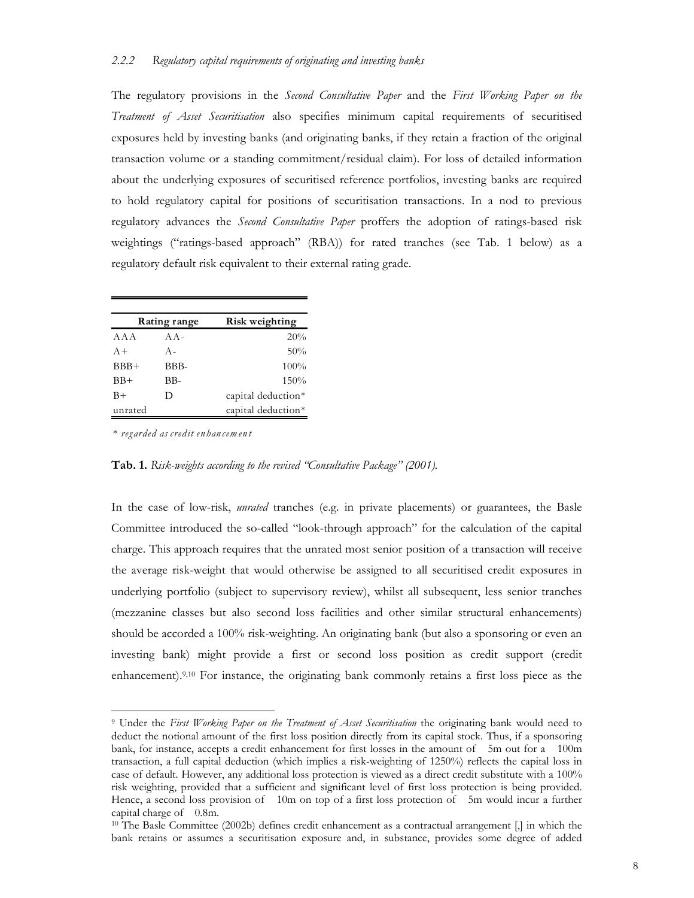The regulatory provisions in the *Second Consultative Paper* and the *First Working Paper on the Treatment of Asset Securitisation* also specifies minimum capital requirements of securitised exposures held by investing banks (and originating banks, if they retain a fraction of the original transaction volume or a standing commitment/residual claim). For loss of detailed information about the underlying exposures of securitised reference portfolios, investing banks are required to hold regulatory capital for positions of securitisation transactions. In a nod to previous regulatory advances the *Second Consultative Paper* proffers the adoption of ratings-based risk weightings ("ratings-based approach" (RBA)) for rated tranches (see Tab. 1 below) as a regulatory default risk equivalent to their external rating grade.

|         | Rating range | Risk weighting     |
|---------|--------------|--------------------|
| AAA     | $AA -$       | 20%                |
| $A +$   | $A -$        | 50%                |
| $BBB+$  | BBB-         | $100\%$            |
| $BB+$   | BB-          | 150%               |
| $B+$    | D            | capital deduction* |
| unrated |              | capital deduction* |

\* *regarded as credit en han cem en t*

 $\overline{a}$ 

**Tab. 1.** *Risk-weights according to the revised "Consultative Package" (2001).*

In the case of low-risk, *unrated* tranches (e.g. in private placements) or guarantees, the Basle Committee introduced the so-called "look-through approach" for the calculation of the capital charge. This approach requires that the unrated most senior position of a transaction will receive the average risk-weight that would otherwise be assigned to all securitised credit exposures in underlying portfolio (subject to supervisory review), whilst all subsequent, less senior tranches (mezzanine classes but also second loss facilities and other similar structural enhancements) should be accorded a 100% risk-weighting. An originating bank (but also a sponsoring or even an investing bank) might provide a first or second loss position as credit support (credit enhancement).9,10 For instance, the originating bank commonly retains a first loss piece as the

<sup>9</sup> Under the *First Working Paper on the Treatment of Asset Securitisation* the originating bank would need to deduct the notional amount of the first loss position directly from its capital stock. Thus, if a sponsoring bank, for instance, accepts a credit enhancement for first losses in the amount of 5m out for a 100m transaction, a full capital deduction (which implies a risk-weighting of 1250%) reflects the capital loss in case of default. However, any additional loss protection is viewed as a direct credit substitute with a 100% risk weighting, provided that a sufficient and significant level of first loss protection is being provided. Hence, a second loss provision of 10m on top of a first loss protection of 5m would incur a further capital charge of 0.8m.

<sup>10</sup> The Basle Committee (2002b) defines credit enhancement as a contractual arrangement [,] in which the bank retains or assumes a securitisation exposure and, in substance, provides some degree of added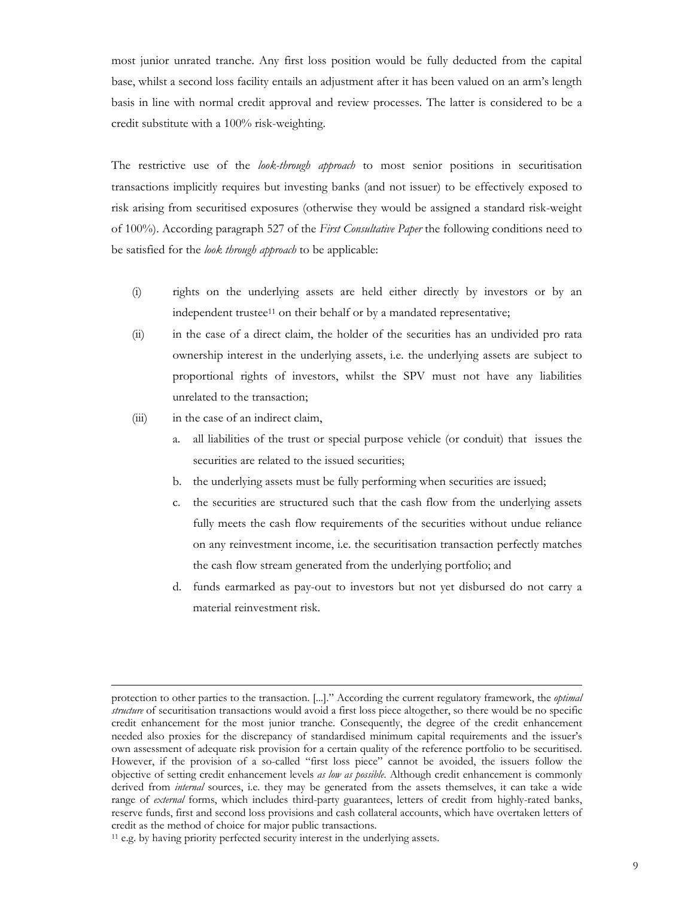most junior unrated tranche. Any first loss position would be fully deducted from the capital base, whilst a second loss facility entails an adjustment after it has been valued on an arm's length basis in line with normal credit approval and review processes. The latter is considered to be a credit substitute with a 100% risk-weighting.

The restrictive use of the *look-through approach* to most senior positions in securitisation transactions implicitly requires but investing banks (and not issuer) to be effectively exposed to risk arising from securitised exposures (otherwise they would be assigned a standard risk-weight of 100%). According paragraph 527 of the *First Consultative Paper* the following conditions need to be satisfied for the *look through approach* to be applicable:

- (i) rights on the underlying assets are held either directly by investors or by an independent trustee<sup>11</sup> on their behalf or by a mandated representative;
- (ii) in the case of a direct claim, the holder of the securities has an undivided pro rata ownership interest in the underlying assets, i.e. the underlying assets are subject to proportional rights of investors, whilst the SPV must not have any liabilities unrelated to the transaction;
- (iii) in the case of an indirect claim,

- a. all liabilities of the trust or special purpose vehicle (or conduit) that issues the securities are related to the issued securities;
- b. the underlying assets must be fully performing when securities are issued;
- c. the securities are structured such that the cash flow from the underlying assets fully meets the cash flow requirements of the securities without undue reliance on any reinvestment income, i.e. the securitisation transaction perfectly matches the cash flow stream generated from the underlying portfolio; and
- d. funds earmarked as pay-out to investors but not yet disbursed do not carry a material reinvestment risk.

protection to other parties to the transaction. [...]." According the current regulatory framework, the *optimal structure* of securitisation transactions would avoid a first loss piece altogether, so there would be no specific credit enhancement for the most junior tranche. Consequently, the degree of the credit enhancement needed also proxies for the discrepancy of standardised minimum capital requirements and the issuer's own assessment of adequate risk provision for a certain quality of the reference portfolio to be securitised. However, if the provision of a so-called "first loss piece" cannot be avoided, the issuers follow the objective of setting credit enhancement levels *as low as possible*. Although credit enhancement is commonly derived from *internal* sources, i.e. they may be generated from the assets themselves, it can take a wide range of *external* forms, which includes third-party guarantees, letters of credit from highly-rated banks, reserve funds, first and second loss provisions and cash collateral accounts, which have overtaken letters of credit as the method of choice for major public transactions.

<sup>11</sup> e.g. by having priority perfected security interest in the underlying assets.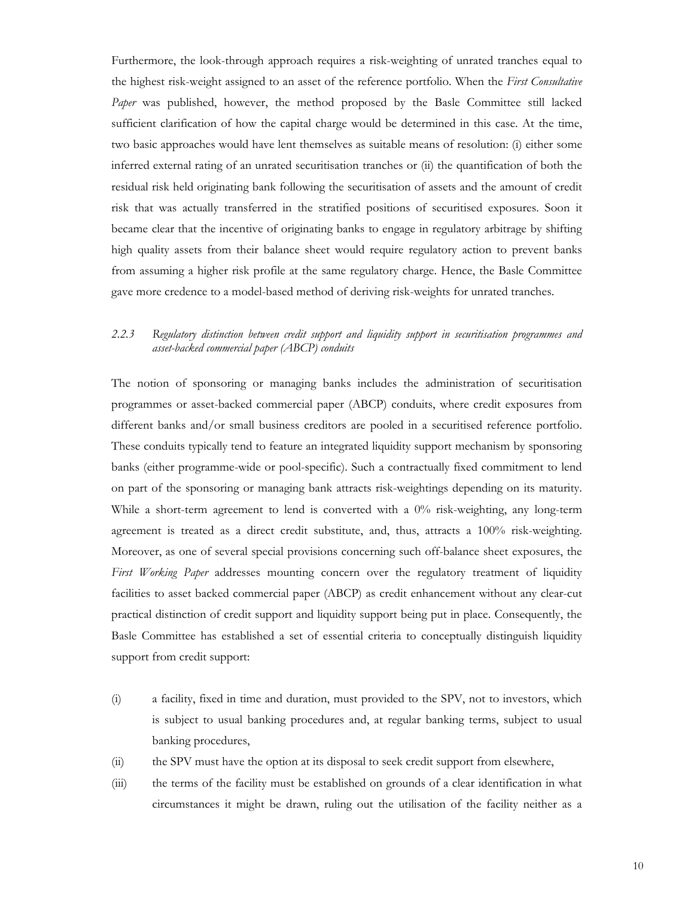Furthermore, the look-through approach requires a risk-weighting of unrated tranches equal to the highest risk-weight assigned to an asset of the reference portfolio. When the *First Consultative Paper* was published, however, the method proposed by the Basle Committee still lacked sufficient clarification of how the capital charge would be determined in this case. At the time, two basic approaches would have lent themselves as suitable means of resolution: (i) either some inferred external rating of an unrated securitisation tranches or (ii) the quantification of both the residual risk held originating bank following the securitisation of assets and the amount of credit risk that was actually transferred in the stratified positions of securitised exposures. Soon it became clear that the incentive of originating banks to engage in regulatory arbitrage by shifting high quality assets from their balance sheet would require regulatory action to prevent banks from assuming a higher risk profile at the same regulatory charge. Hence, the Basle Committee gave more credence to a model-based method of deriving risk-weights for unrated tranches.

## *2.2.3 Regulatory distinction between credit support and liquidity support in securitisation programmes and asset-backed commercial paper (ABCP) conduits*

The notion of sponsoring or managing banks includes the administration of securitisation programmes or asset-backed commercial paper (ABCP) conduits, where credit exposures from different banks and/or small business creditors are pooled in a securitised reference portfolio. These conduits typically tend to feature an integrated liquidity support mechanism by sponsoring banks (either programme-wide or pool-specific). Such a contractually fixed commitment to lend on part of the sponsoring or managing bank attracts risk-weightings depending on its maturity. While a short-term agreement to lend is converted with a 0% risk-weighting, any long-term agreement is treated as a direct credit substitute, and, thus, attracts a 100% risk-weighting. Moreover, as one of several special provisions concerning such off-balance sheet exposures, the *First Working Paper* addresses mounting concern over the regulatory treatment of liquidity facilities to asset backed commercial paper (ABCP) as credit enhancement without any clear-cut practical distinction of credit support and liquidity support being put in place. Consequently, the Basle Committee has established a set of essential criteria to conceptually distinguish liquidity support from credit support:

- (i) a facility, fixed in time and duration, must provided to the SPV, not to investors, which is subject to usual banking procedures and, at regular banking terms, subject to usual banking procedures,
- (ii) the SPV must have the option at its disposal to seek credit support from elsewhere,
- (iii) the terms of the facility must be established on grounds of a clear identification in what circumstances it might be drawn, ruling out the utilisation of the facility neither as a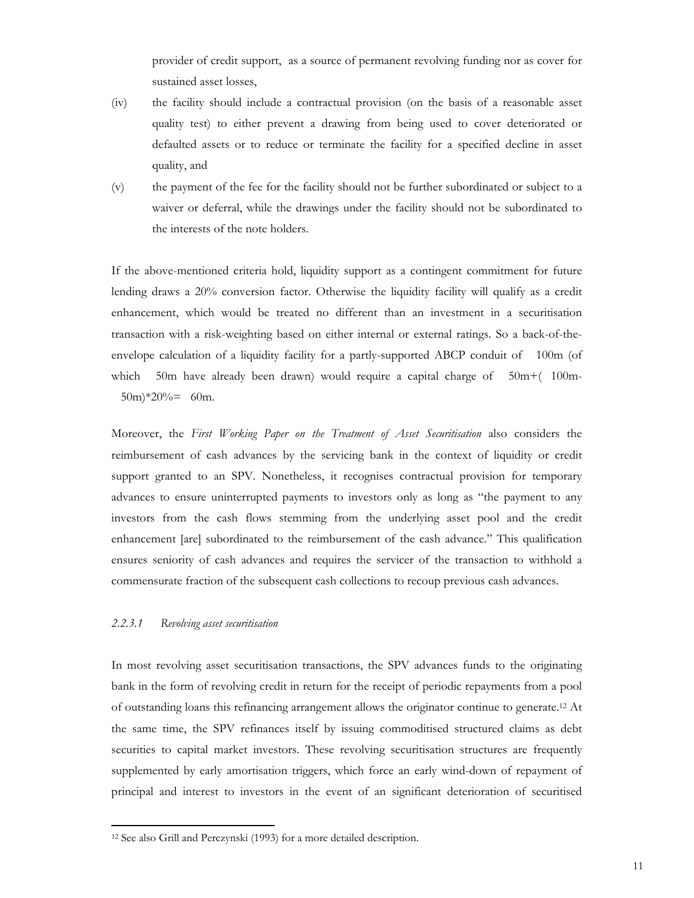provider of credit support, as a source of permanent revolving funding nor as cover for sustained asset losses,

- (iv) the facility should include a contractual provision (on the basis of a reasonable asset quality test) to either prevent a drawing from being used to cover deteriorated or defaulted assets or to reduce or terminate the facility for a specified decline in asset quality, and
- (v) the payment of the fee for the facility should not be further subordinated or subject to a waiver or deferral, while the drawings under the facility should not be subordinated to the interests of the note holders.

If the above-mentioned criteria hold, liquidity support as a contingent commitment for future lending draws a 20% conversion factor. Otherwise the liquidity facility will qualify as a credit enhancement, which would be treated no different than an investment in a securitisation transaction with a risk-weighting based on either internal or external ratings. So a back-of-theenvelope calculation of a liquidity facility for a partly-supported ABCP conduit of 100m (of which 50m have already been drawn) would require a capital charge of 50m+(100m- $50m$ <sup>\*</sup>20<sup>%</sup> = 60m.

Moreover, the *First Working Paper on the Treatment of Asset Securitisation* also considers the reimbursement of cash advances by the servicing bank in the context of liquidity or credit support granted to an SPV. Nonetheless, it recognises contractual provision for temporary advances to ensure uninterrupted payments to investors only as long as "the payment to any investors from the cash flows stemming from the underlying asset pool and the credit enhancement [are] subordinated to the reimbursement of the cash advance." This qualification ensures seniority of cash advances and requires the servicer of the transaction to withhold a commensurate fraction of the subsequent cash collections to recoup previous cash advances.

### *2.2.3.1 Revolving asset securitisation*

 $\overline{a}$ 

In most revolving asset securitisation transactions, the SPV advances funds to the originating bank in the form of revolving credit in return for the receipt of periodic repayments from a pool of outstanding loans this refinancing arrangement allows the originator continue to generate.12 At the same time, the SPV refinances itself by issuing commoditised structured claims as debt securities to capital market investors. These revolving securitisation structures are frequently supplemented by early amortisation triggers, which force an early wind-down of repayment of principal and interest to investors in the event of an significant deterioration of securitised

<sup>12</sup> See also Grill and Perczynski (1993) for a more detailed description.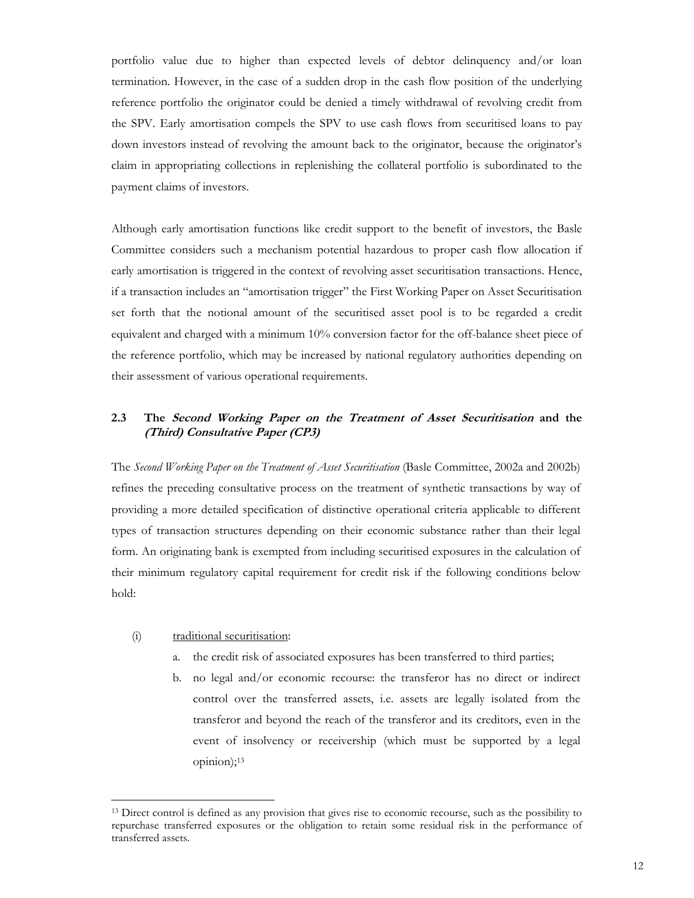portfolio value due to higher than expected levels of debtor delinquency and/or loan termination. However, in the case of a sudden drop in the cash flow position of the underlying reference portfolio the originator could be denied a timely withdrawal of revolving credit from the SPV. Early amortisation compels the SPV to use cash flows from securitised loans to pay down investors instead of revolving the amount back to the originator, because the originator's claim in appropriating collections in replenishing the collateral portfolio is subordinated to the payment claims of investors.

Although early amortisation functions like credit support to the benefit of investors, the Basle Committee considers such a mechanism potential hazardous to proper cash flow allocation if early amortisation is triggered in the context of revolving asset securitisation transactions. Hence, if a transaction includes an "amortisation trigger" the First Working Paper on Asset Securitisation set forth that the notional amount of the securitised asset pool is to be regarded a credit equivalent and charged with a minimum 10% conversion factor for the off-balance sheet piece of the reference portfolio, which may be increased by national regulatory authorities depending on their assessment of various operational requirements.

# **2.3 The Second Working Paper on the Treatment of Asset Securitisation and the (Third) Consultative Paper (CP3)**

The *Second Working Paper on the Treatment of Asset Securitisation* (Basle Committee, 2002a and 2002b) refines the preceding consultative process on the treatment of synthetic transactions by way of providing a more detailed specification of distinctive operational criteria applicable to different types of transaction structures depending on their economic substance rather than their legal form. An originating bank is exempted from including securitised exposures in the calculation of their minimum regulatory capital requirement for credit risk if the following conditions below hold:

## (i) traditional securitisation:

- a. the credit risk of associated exposures has been transferred to third parties;
- b. no legal and/or economic recourse: the transferor has no direct or indirect control over the transferred assets, i.e. assets are legally isolated from the transferor and beyond the reach of the transferor and its creditors, even in the event of insolvency or receivership (which must be supported by a legal opinion);13

<sup>&</sup>lt;sup>13</sup> Direct control is defined as any provision that gives rise to economic recourse, such as the possibility to repurchase transferred exposures or the obligation to retain some residual risk in the performance of transferred assets.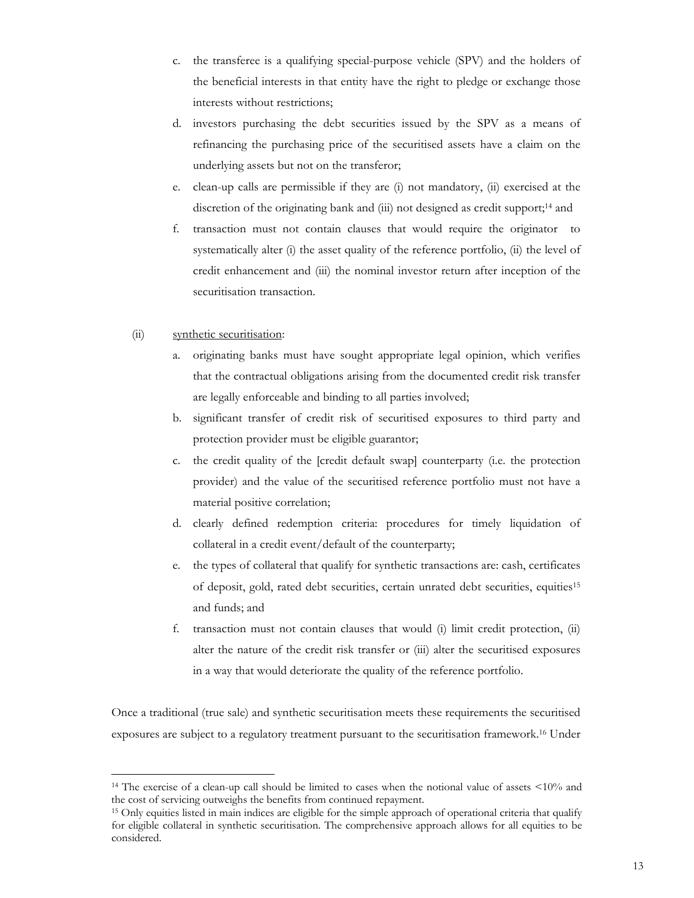- c. the transferee is a qualifying special-purpose vehicle (SPV) and the holders of the beneficial interests in that entity have the right to pledge or exchange those interests without restrictions;
- d. investors purchasing the debt securities issued by the SPV as a means of refinancing the purchasing price of the securitised assets have a claim on the underlying assets but not on the transferor;
- e. clean-up calls are permissible if they are (i) not mandatory, (ii) exercised at the discretion of the originating bank and (iii) not designed as credit support;14 and
- f. transaction must not contain clauses that would require the originator to systematically alter (i) the asset quality of the reference portfolio, (ii) the level of credit enhancement and (iii) the nominal investor return after inception of the securitisation transaction.

# (ii) synthetic securitisation:

 $\overline{a}$ 

- a. originating banks must have sought appropriate legal opinion, which verifies that the contractual obligations arising from the documented credit risk transfer are legally enforceable and binding to all parties involved;
- b. significant transfer of credit risk of securitised exposures to third party and protection provider must be eligible guarantor;
- c. the credit quality of the [credit default swap] counterparty (i.e. the protection provider) and the value of the securitised reference portfolio must not have a material positive correlation;
- d. clearly defined redemption criteria: procedures for timely liquidation of collateral in a credit event/default of the counterparty;
- e. the types of collateral that qualify for synthetic transactions are: cash, certificates of deposit, gold, rated debt securities, certain unrated debt securities, equities<sup>15</sup> and funds; and
- f. transaction must not contain clauses that would (i) limit credit protection, (ii) alter the nature of the credit risk transfer or (iii) alter the securitised exposures in a way that would deteriorate the quality of the reference portfolio.

Once a traditional (true sale) and synthetic securitisation meets these requirements the securitised exposures are subject to a regulatory treatment pursuant to the securitisation framework.16 Under

<sup>14</sup> The exercise of a clean-up call should be limited to cases when the notional value of assets <10% and the cost of servicing outweighs the benefits from continued repayment.

<sup>15</sup> Only equities listed in main indices are eligible for the simple approach of operational criteria that qualify for eligible collateral in synthetic securitisation. The comprehensive approach allows for all equities to be considered.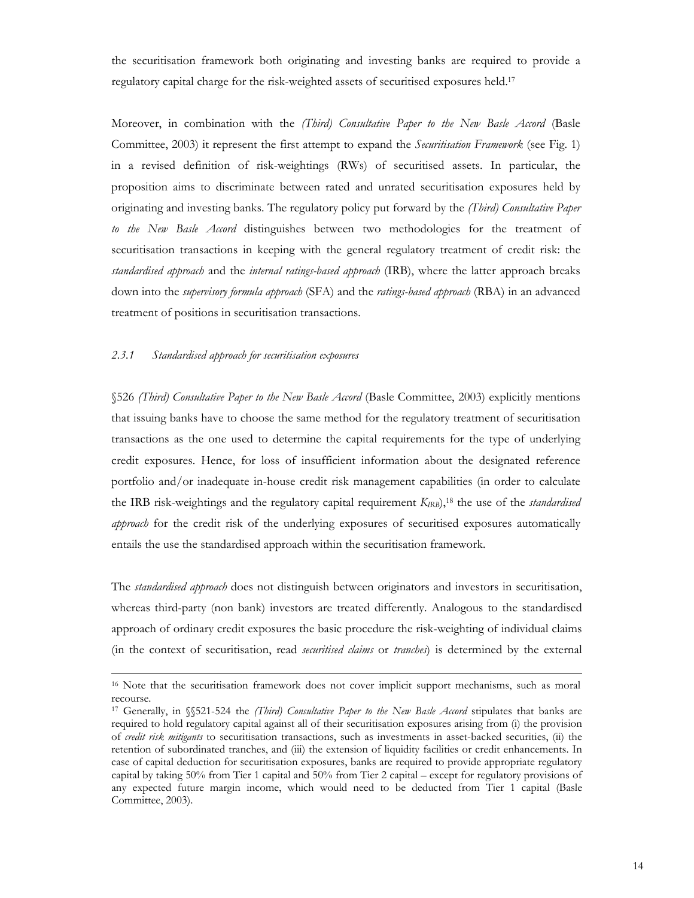the securitisation framework both originating and investing banks are required to provide a regulatory capital charge for the risk-weighted assets of securitised exposures held.17

Moreover, in combination with the *(Third) Consultative Paper to the New Basle Accord* (Basle Committee, 2003) it represent the first attempt to expand the *Securitisation Framework* (see Fig. 1) in a revised definition of risk-weightings (RWs) of securitised assets. In particular, the proposition aims to discriminate between rated and unrated securitisation exposures held by originating and investing banks. The regulatory policy put forward by the *(Third) Consultative Paper to the New Basle Accord* distinguishes between two methodologies for the treatment of securitisation transactions in keeping with the general regulatory treatment of credit risk: the *standardised approach* and the *internal ratings-based approach* (IRB), where the latter approach breaks down into the *supervisory formula approach* (SFA) and the *ratings-based approach* (RBA) in an advanced treatment of positions in securitisation transactions.

#### *2.3.1 Standardised approach for securitisation exposures*

 $\overline{a}$ 

§526 *(Third) Consultative Paper to the New Basle Accord* (Basle Committee, 2003) explicitly mentions that issuing banks have to choose the same method for the regulatory treatment of securitisation transactions as the one used to determine the capital requirements for the type of underlying credit exposures. Hence, for loss of insufficient information about the designated reference portfolio and/or inadequate in-house credit risk management capabilities (in order to calculate the IRB risk-weightings and the regulatory capital requirement *KIRB*),18 the use of the *standardised approach* for the credit risk of the underlying exposures of securitised exposures automatically entails the use the standardised approach within the securitisation framework.

The *standardised approach* does not distinguish between originators and investors in securitisation, whereas third-party (non bank) investors are treated differently. Analogous to the standardised approach of ordinary credit exposures the basic procedure the risk-weighting of individual claims (in the context of securitisation, read *securitised claims* or *tranches*) is determined by the external

<sup>&</sup>lt;sup>16</sup> Note that the securitisation framework does not cover implicit support mechanisms, such as moral recourse.

<sup>17</sup> Generally, in §§521-524 the *(Third) Consultative Paper to the New Basle Accord* stipulates that banks are required to hold regulatory capital against all of their securitisation exposures arising from (i) the provision of *credit risk mitigants* to securitisation transactions, such as investments in asset-backed securities, (ii) the retention of subordinated tranches, and (iii) the extension of liquidity facilities or credit enhancements. In case of capital deduction for securitisation exposures, banks are required to provide appropriate regulatory capital by taking 50% from Tier 1 capital and 50% from Tier 2 capital – except for regulatory provisions of any expected future margin income, which would need to be deducted from Tier 1 capital (Basle Committee, 2003).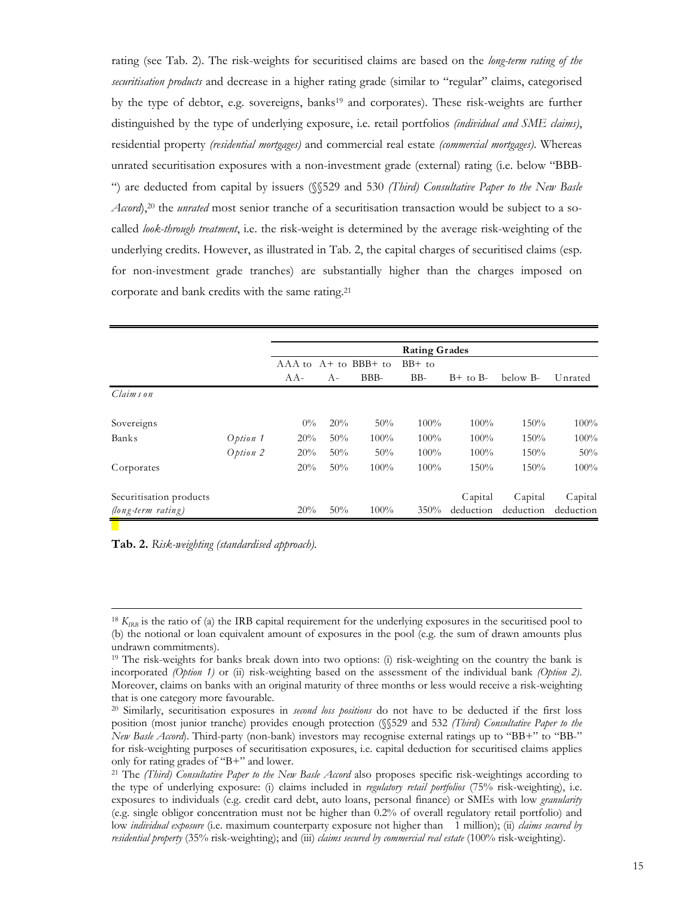rating (see Tab. 2). The risk-weights for securitised claims are based on the *long-term rating of the securitisation products* and decrease in a higher rating grade (similar to "regular" claims, categorised by the type of debtor, e.g. sovereigns, banks<sup>19</sup> and corporates). These risk-weights are further distinguished by the type of underlying exposure, i.e. retail portfolios *(individual and SME claims)*, residential property *(residential mortgages)* and commercial real estate *(commercial mortgages)*. Whereas unrated securitisation exposures with a non-investment grade (external) rating (i.e. below "BBB- ") are deducted from capital by issuers (§§529 and 530 *(Third) Consultative Paper to the New Basle Accord*),<sup>20</sup> the *unrated* most senior tranche of a securitisation transaction would be subject to a socalled *look-through treatment*, i.e. the risk-weight is determined by the average risk-weighting of the underlying credits. However, as illustrated in Tab. 2, the capital charges of securitised claims (esp. for non-investment grade tranches) are substantially higher than the charges imposed on corporate and bank credits with the same rating.21

|                         |          |        |      |                 | <b>Rating Grades</b> |              |           |           |
|-------------------------|----------|--------|------|-----------------|----------------------|--------------|-----------|-----------|
|                         |          | AAA to |      | $A+$ to BBB+ to | $BB+$ to             |              |           |           |
|                         |          | $AA-$  | $A-$ | BBB-            | $BB-$                | $B+$ to $B-$ | below B-  | Unrated   |
| Claim s on              |          |        |      |                 |                      |              |           |           |
| Sovereigns              |          | $0\%$  | 20%  | 50%             | 100%                 | $100\%$      | 150%      | $100\%$   |
| Banks                   | Option 1 | 20%    | 50%  | 100%            | 100%                 | $100\%$      | 150%      | $100\%$   |
|                         | Option 2 | 20%    | 50%  | 50%             | 100%                 | 100%         | 150%      | 50%       |
| Corporates              |          | 20%    | 50%  | 100%            | 100%                 | 150%         | 150%      | $100\%$   |
| Securitisation products |          |        |      |                 |                      | Capital      | Capital   | Capital   |
| (long-term rating)      |          | 20%    | 50%  | 100%            | 350%                 | deduction    | deduction | deduction |
|                         |          |        |      |                 |                      |              |           |           |

**Tab. 2.** *Risk-weighting (standardised approach).*

<sup>&</sup>lt;sup>18</sup>  $K_{RR}$  is the ratio of (a) the IRB capital requirement for the underlying exposures in the securitised pool to (b) the notional or loan equivalent amount of exposures in the pool (e.g. the sum of drawn amounts plus undrawn commitments).

<sup>19</sup> The risk-weights for banks break down into two options: (i) risk-weighting on the country the bank is incorporated *(Option 1)* or (ii) risk-weighting based on the assessment of the individual bank *(Option 2)*. Moreover, claims on banks with an original maturity of three months or less would receive a risk-weighting that is one category more favourable.

<sup>20</sup> Similarly, securitisation exposures in *second loss positions* do not have to be deducted if the first loss position (most junior tranche) provides enough protection (§§529 and 532 *(Third) Consultative Paper to the New Basle Accord*). Third-party (non-bank) investors may recognise external ratings up to "BB+" to "BB-" for risk-weighting purposes of securitisation exposures, i.e. capital deduction for securitised claims applies only for rating grades of "B+" and lower.

<sup>21</sup> The *(Third) Consultative Paper to the New Basle Accord* also proposes specific risk-weightings according to the type of underlying exposure: (i) claims included in *regulatory retail portfolios* (75% risk-weighting), i.e. exposures to individuals (e.g. credit card debt, auto loans, personal finance) or SMEs with low *granularity* (e.g. single obligor concentration must not be higher than 0.2% of overall regulatory retail portfolio) and low *individual exposure* (i.e. maximum counterparty exposure not higher than 1 million); (ii) *claims secured by residential property* (35% risk-weighting); and (iii) *claims secured by commercial real estate* (100% risk-weighting).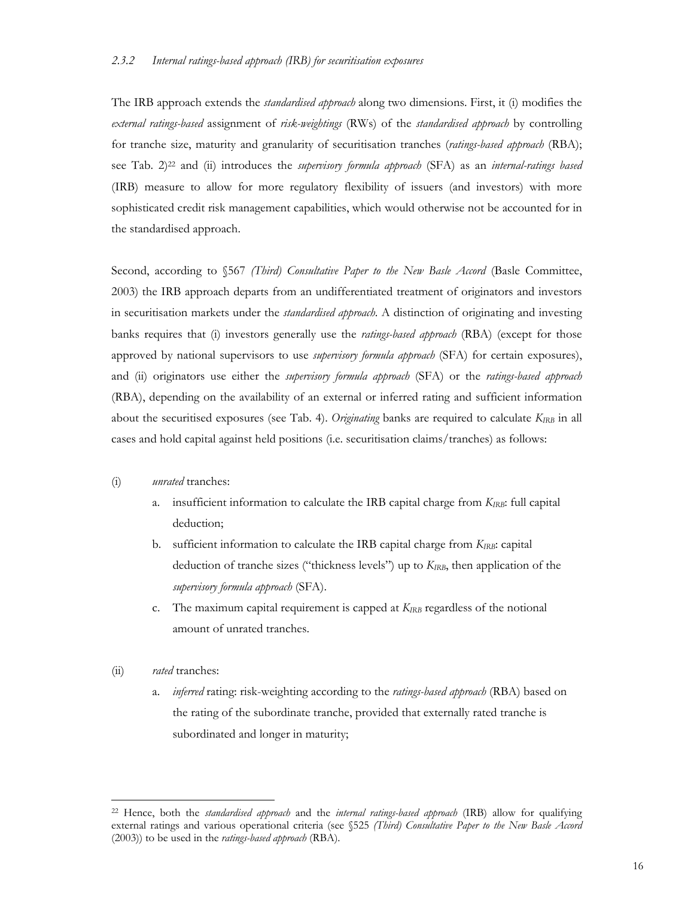The IRB approach extends the *standardised approach* along two dimensions. First, it (i) modifies the *external ratings-based* assignment of *risk-weightings* (RWs) of the *standardised approach* by controlling for tranche size, maturity and granularity of securitisation tranches (*ratings-based approach* (RBA); see Tab. 2)22 and (ii) introduces the *supervisory formula approach* (SFA) as an *internal-ratings based* (IRB) measure to allow for more regulatory flexibility of issuers (and investors) with more sophisticated credit risk management capabilities, which would otherwise not be accounted for in the standardised approach.

Second, according to §567 *(Third) Consultative Paper to the New Basle Accord* (Basle Committee, 2003) the IRB approach departs from an undifferentiated treatment of originators and investors in securitisation markets under the *standardised approach*. A distinction of originating and investing banks requires that (i) investors generally use the *ratings-based approach* (RBA) (except for those approved by national supervisors to use *supervisory formula approach* (SFA) for certain exposures), and (ii) originators use either the *supervisory formula approach* (SFA) or the *ratings-based approach* (RBA), depending on the availability of an external or inferred rating and sufficient information about the securitised exposures (see Tab. 4). *Originating* banks are required to calculate  $K_{IRB}$  in all cases and hold capital against held positions (i.e. securitisation claims/tranches) as follows:

### (i) *unrated* tranches:

- a. insufficient information to calculate the IRB capital charge from *KIRB*: full capital deduction;
- b. sufficient information to calculate the IRB capital charge from *KIRB*: capital deduction of tranche sizes ("thickness levels") up to *KIRB*, then application of the *supervisory formula approach* (SFA).
- c. The maximum capital requirement is capped at *KIRB* regardless of the notional amount of unrated tranches.
- (ii) *rated* tranches:

 $\overline{a}$ 

a. *inferred* rating: risk-weighting according to the *ratings-based approach* (RBA) based on the rating of the subordinate tranche, provided that externally rated tranche is subordinated and longer in maturity;

<sup>22</sup> Hence, both the *standardised approach* and the *internal ratings-based approach* (IRB) allow for qualifying external ratings and various operational criteria (see §525 *(Third) Consultative Paper to the New Basle Accord* (2003)) to be used in the *ratings-based approach* (RBA).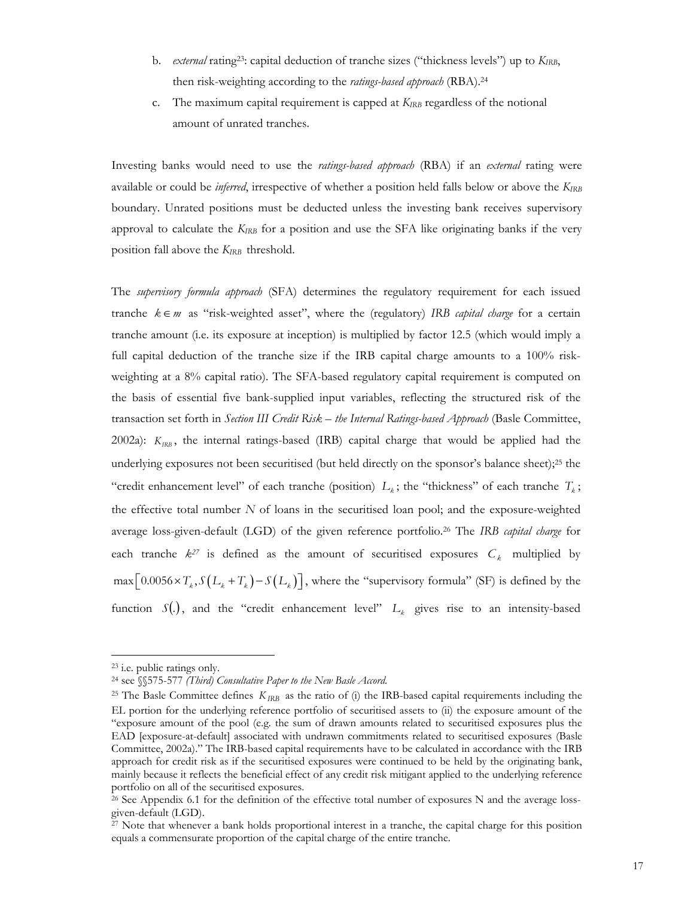- b. *external* rating<sup>23</sup>: capital deduction of tranche sizes ("thickness levels") up to  $K_{IRB}$ , then risk-weighting according to the *ratings-based approach* (RBA).24
- c. The maximum capital requirement is capped at *KIRB* regardless of the notional amount of unrated tranches.

Investing banks would need to use the *ratings-based approach* (RBA) if an *external* rating were available or could be *inferred*, irrespective of whether a position held falls below or above the *KIRB* boundary. Unrated positions must be deducted unless the investing bank receives supervisory approval to calculate the *KIRB* for a position and use the SFA like originating banks if the very position fall above the *KIRB* threshold.

The *supervisory formula approach* (SFA) determines the regulatory requirement for each issued tranche  $k \in m$  as "risk-weighted asset", where the (regulatory) *IRB capital charge* for a certain tranche amount (i.e. its exposure at inception) is multiplied by factor 12.5 (which would imply a full capital deduction of the tranche size if the IRB capital charge amounts to a 100% riskweighting at a 8% capital ratio). The SFA-based regulatory capital requirement is computed on the basis of essential five bank-supplied input variables, reflecting the structured risk of the transaction set forth in *Section III Credit Risk – the Internal Ratings-based Approach* (Basle Committee, 2002a):  $K_{IRB}$ , the internal ratings-based (IRB) capital charge that would be applied had the underlying exposures not been securitised (but held directly on the sponsor's balance sheet);<sup>25</sup> the "credit enhancement level" of each tranche (position)  $L_k$ ; the "thickness" of each tranche  $T_k$ ; the effective total number *N* of loans in the securitised loan pool; and the exposure-weighted average loss-given-default (LGD) of the given reference portfolio.26 The *IRB capital charge* for each tranche  $k^{27}$  is defined as the amount of securitised exposures  $C_k$  multiplied by  $\max[0.0056 \times T_k, S(L_k + T_k) - S(L_k)]$ , where the "supervisory formula" (SF) is defined by the function  $S(.)$ , and the "credit enhancement level"  $L_k$  gives rise to an intensity-based

<sup>23</sup> i.e. public ratings only.

<sup>24</sup> see §§575-577 *(Third) Consultative Paper to the New Basle Accord*.

<sup>&</sup>lt;sup>25</sup> The Basle Committee defines  $K_{IRB}$  as the ratio of (i) the IRB-based capital requirements including the EL portion for the underlying reference portfolio of securitised assets to (ii) the exposure amount of the "exposure amount of the pool (e.g. the sum of drawn amounts related to securitised exposures plus the EAD [exposure-at-default] associated with undrawn commitments related to securitised exposures (Basle Committee, 2002a)." The IRB-based capital requirements have to be calculated in accordance with the IRB approach for credit risk as if the securitised exposures were continued to be held by the originating bank, mainly because it reflects the beneficial effect of any credit risk mitigant applied to the underlying reference portfolio on all of the securitised exposures.

 $26$  See Appendix 6.1 for the definition of the effective total number of exposures N and the average lossgiven-default (LGD).

<sup>27</sup> Note that whenever a bank holds proportional interest in a tranche, the capital charge for this position equals a commensurate proportion of the capital charge of the entire tranche.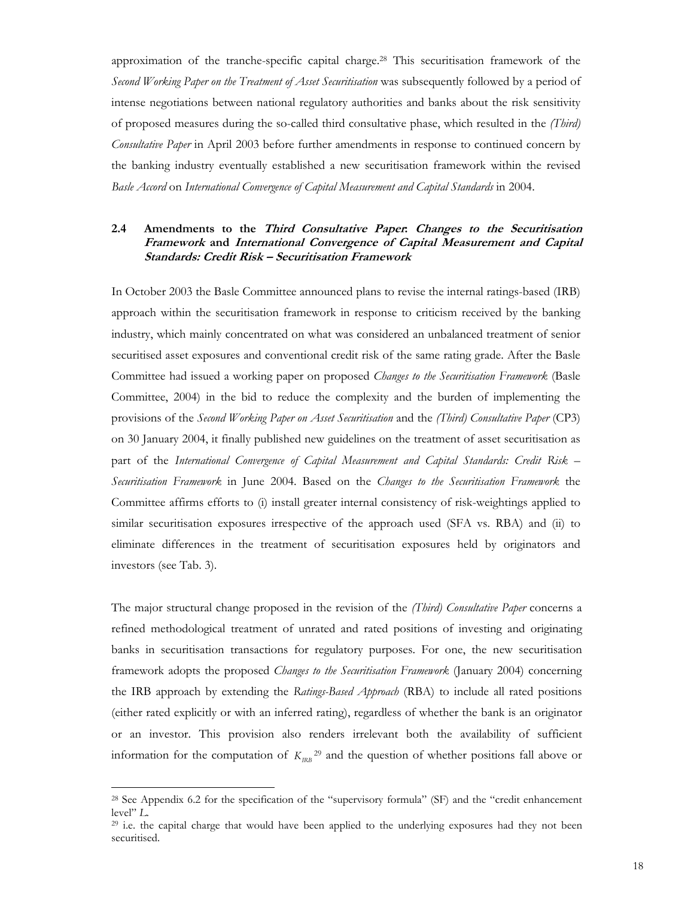approximation of the tranche-specific capital charge.28 This securitisation framework of the *Second Working Paper on the Treatment of Asset Securitisation* was subsequently followed by a period of intense negotiations between national regulatory authorities and banks about the risk sensitivity of proposed measures during the so-called third consultative phase, which resulted in the *(Third) Consultative Paper* in April 2003 before further amendments in response to continued concern by the banking industry eventually established a new securitisation framework within the revised Basle Accord on International Convergence of Capital Measurement and Capital Standards in 2004.

## **2.4 Amendments to the Third Consultative Paper: Changes to the Securitisation Framework and International Convergence of Capital Measurement and Capital Standards: Credit Risk – Securitisation Framework**

In October 2003 the Basle Committee announced plans to revise the internal ratings-based (IRB) approach within the securitisation framework in response to criticism received by the banking industry, which mainly concentrated on what was considered an unbalanced treatment of senior securitised asset exposures and conventional credit risk of the same rating grade. After the Basle Committee had issued a working paper on proposed *Changes to the Securitisation Framework* (Basle Committee, 2004) in the bid to reduce the complexity and the burden of implementing the provisions of the *Second Working Paper on Asset Securitisation* and the *(Third) Consultative Paper* (CP3) on 30 January 2004, it finally published new guidelines on the treatment of asset securitisation as part of the *International Convergence of Capital Measurement and Capital Standards: Credit Risk – Securitisation Framework* in June 2004. Based on the *Changes to the Securitisation Framework* the Committee affirms efforts to (i) install greater internal consistency of risk-weightings applied to similar securitisation exposures irrespective of the approach used (SFA vs. RBA) and (ii) to eliminate differences in the treatment of securitisation exposures held by originators and investors (see Tab. 3).

The major structural change proposed in the revision of the *(Third) Consultative Paper* concerns a refined methodological treatment of unrated and rated positions of investing and originating banks in securitisation transactions for regulatory purposes. For one, the new securitisation framework adopts the proposed *Changes to the Securitisation Framework* (January 2004) concerning the IRB approach by extending the *Ratings-Based Approach* (RBA) to include all rated positions (either rated explicitly or with an inferred rating), regardless of whether the bank is an originator or an investor. This provision also renders irrelevant both the availability of sufficient information for the computation of  $K_{IR}^{29}$  and the question of whether positions fall above or

<sup>28</sup> See Appendix 6.2 for the specification of the "supervisory formula" (SF) and the "credit enhancement level" *L*.

<sup>29</sup> i.e. the capital charge that would have been applied to the underlying exposures had they not been securitised.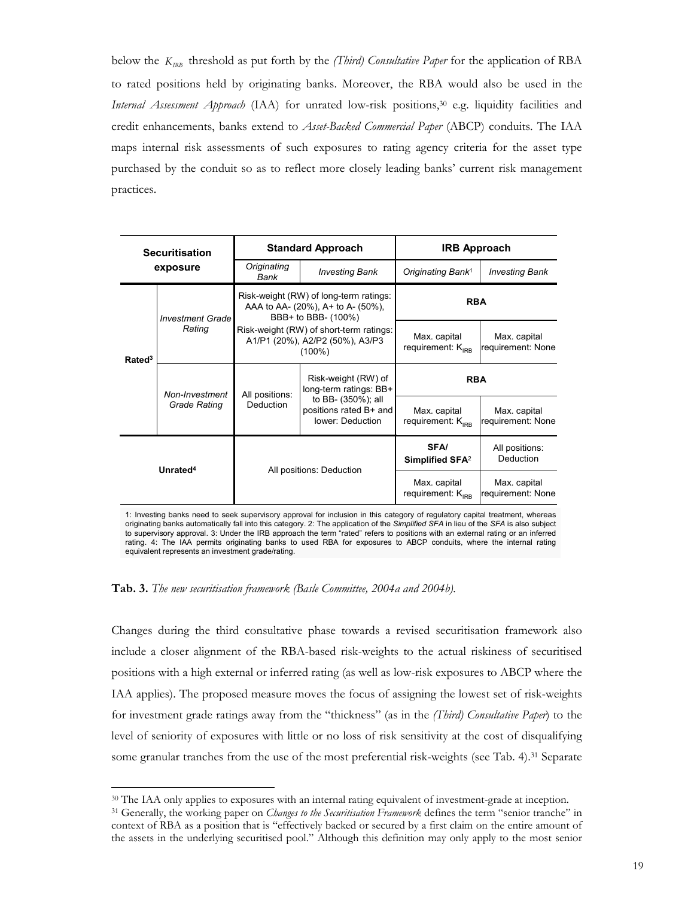below the *K<sub>IRB</sub>* threshold as put forth by the *(Third) Consultative Paper* for the application of RBA to rated positions held by originating banks. Moreover, the RBA would also be used in the *Internal Assessment Approach* (IAA) for unrated low-risk positions,<sup>30</sup> e.g. liquidity facilities and credit enhancements, banks extend to *Asset-Backed Commercial Paper* (ABCP) conduits. The IAA maps internal risk assessments of such exposures to rating agency criteria for the asset type purchased by the conduit so as to reflect more closely leading banks' current risk management practices.

| <b>Securitisation</b><br>exposure |                                       |                                              | <b>Standard Approach</b>                                                                           | <b>IRB Approach</b>                           |                                   |  |
|-----------------------------------|---------------------------------------|----------------------------------------------|----------------------------------------------------------------------------------------------------|-----------------------------------------------|-----------------------------------|--|
|                                   |                                       | Originating<br><b>Investing Bank</b><br>Bank |                                                                                                    | Originating Bank <sup>1</sup>                 | <b>Investing Bank</b>             |  |
| Rated <sup>3</sup>                | Investment Grade                      |                                              | Risk-weight (RW) of long-term ratings:<br>AAA to AA- (20%), A+ to A- (50%),<br>BBB+ to BBB- (100%) | <b>RBA</b>                                    |                                   |  |
|                                   | Rating                                |                                              | Risk-weight (RW) of short-term ratings:<br>A1/P1 (20%), A2/P2 (50%), A3/P3<br>$(100\%)$            | Max. capital<br>requirement: K <sub>IRR</sub> | Max. capital<br>requirement: None |  |
|                                   | Non-Investment<br><b>Grade Rating</b> | All positions:                               | Risk-weight (RW) of<br>long-term ratings: BB+                                                      | <b>RBA</b>                                    |                                   |  |
|                                   |                                       | Deduction                                    | to BB- (350%); all<br>positions rated B+ and<br>lower: Deduction                                   | Max. capital<br>requirement: $K_{\text{top}}$ | Max. capital<br>requirement: None |  |
| Unrated <sup>4</sup>              |                                       |                                              |                                                                                                    | <b>SFA/</b><br>Simplified SFA <sup>2</sup>    | All positions:<br>Deduction       |  |
|                                   |                                       | All positions: Deduction                     |                                                                                                    | Max. capital<br>requirement: $K_{\text{top}}$ | Max. capital<br>requirement: None |  |

1: Investing banks need to seek supervisory approval for inclusion in this category of regulatory capital treatment, whereas originating banks automatically fall into this category. 2: The application of the *Simplified SFA* in lieu of the *SFA* is also subject to supervisory approval. 3: Under the IRB approach the term "rated" refers to positions with an external rating or an inferred rating. 4: The IAA permits originating banks to used RBA for exposures to ABCP conduits, where the internal rating equivalent represents an investment grade/rating.

**Tab. 3.** *The new securitisation framework (Basle Committee, 2004a and 2004b).*

 $\overline{a}$ 

Changes during the third consultative phase towards a revised securitisation framework also include a closer alignment of the RBA-based risk-weights to the actual riskiness of securitised positions with a high external or inferred rating (as well as low-risk exposures to ABCP where the IAA applies). The proposed measure moves the focus of assigning the lowest set of risk-weights for investment grade ratings away from the "thickness" (as in the *(Third) Consultative Paper*) to the level of seniority of exposures with little or no loss of risk sensitivity at the cost of disqualifying some granular tranches from the use of the most preferential risk-weights (see Tab. 4).<sup>31</sup> Separate

<sup>&</sup>lt;sup>30</sup> The IAA only applies to exposures with an internal rating equivalent of investment-grade at inception.

<sup>31</sup> Generally, the working paper on *Changes to the Securitisation Framework* defines the term "senior tranche" in context of RBA as a position that is "effectively backed or secured by a first claim on the entire amount of the assets in the underlying securitised pool." Although this definition may only apply to the most senior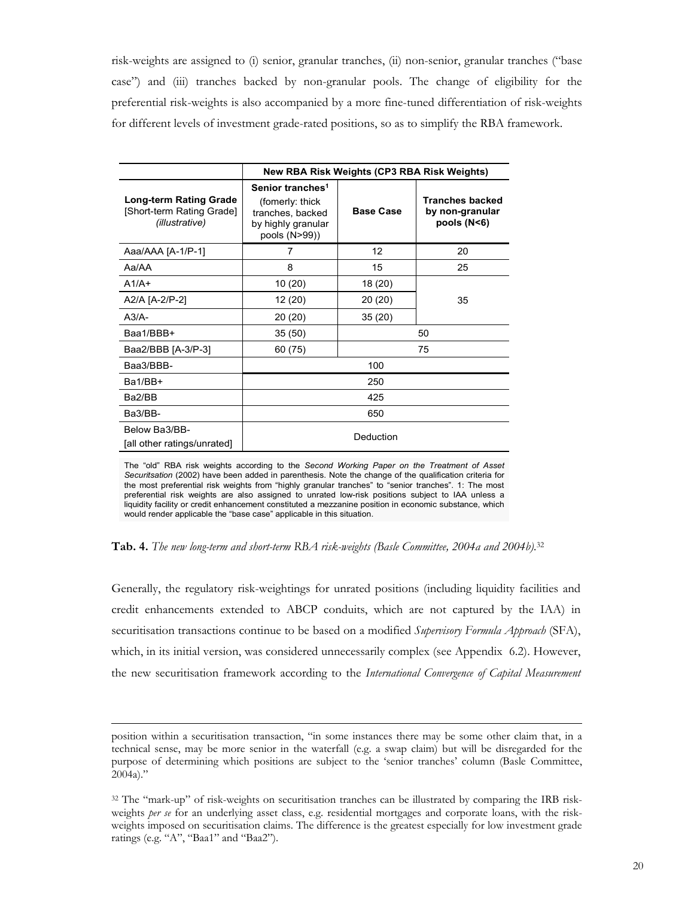risk-weights are assigned to (i) senior, granular tranches, (ii) non-senior, granular tranches ("base case") and (iii) tranches backed by non-granular pools. The change of eligibility for the preferential risk-weights is also accompanied by a more fine-tuned differentiation of risk-weights for different levels of investment grade-rated positions, so as to simplify the RBA framework.

|                                                                              | New RBA Risk Weights (CP3 RBA Risk Weights)                                                                 |                  |                                                          |  |  |  |  |
|------------------------------------------------------------------------------|-------------------------------------------------------------------------------------------------------------|------------------|----------------------------------------------------------|--|--|--|--|
| <b>Long-term Rating Grade</b><br>[Short-term Rating Grade]<br>(illustrative) | Senior tranches <sup>1</sup><br>(fomerly: thick)<br>tranches, backed<br>by highly granular<br>pools (N>99)) | <b>Base Case</b> | <b>Tranches backed</b><br>by non-granular<br>pools (N<6) |  |  |  |  |
| Aaa/AAA [A-1/P-1]                                                            | 7                                                                                                           | 12               | 20                                                       |  |  |  |  |
| Aa/AA                                                                        | 8                                                                                                           | 15               | 25                                                       |  |  |  |  |
| $A1/A+$                                                                      | 10 (20)                                                                                                     | 18 (20)          |                                                          |  |  |  |  |
| A2/A [A-2/P-2]                                                               | 12 (20)                                                                                                     | 20(20)           | 35                                                       |  |  |  |  |
| $A3/A-$                                                                      | 20 (20)                                                                                                     | 35(20)           |                                                          |  |  |  |  |
| Baa1/BBB+                                                                    | 35 (50)                                                                                                     |                  | 50                                                       |  |  |  |  |
| Baa2/BBB [A-3/P-3]                                                           | 60 (75)                                                                                                     |                  | 75                                                       |  |  |  |  |
| Baa3/BBB-                                                                    |                                                                                                             | 100              |                                                          |  |  |  |  |
| Ba1/BB+                                                                      |                                                                                                             | 250              |                                                          |  |  |  |  |
| Ba2/BB                                                                       | 425                                                                                                         |                  |                                                          |  |  |  |  |
| Ba3/BB-                                                                      | 650                                                                                                         |                  |                                                          |  |  |  |  |
| Below Ba3/BB-<br>[all other ratings/unrated]                                 |                                                                                                             |                  |                                                          |  |  |  |  |

The "old" RBA risk weights according to the *Second Working Paper on the Treatment of Asset Securitsation* (2002) have been added in parenthesis. Note the change of the qualification criteria for the most preferential risk weights from "highly granular tranches" to "senior tranches". 1: The most preferential risk weights are also assigned to unrated low-risk positions subject to IAA unless a liquidity facility or credit enhancement constituted a mezzanine position in economic substance, which would render applicable the "base case" applicable in this situation.

|  |  |  |  | <b>Tab. 4.</b> The new long-term and short-term RBA risk-weights (Basle Committee, 2004a and 2004b). <sup>32</sup> |  |  |  |  |  |  |  |
|--|--|--|--|--------------------------------------------------------------------------------------------------------------------|--|--|--|--|--|--|--|
|--|--|--|--|--------------------------------------------------------------------------------------------------------------------|--|--|--|--|--|--|--|

Generally, the regulatory risk-weightings for unrated positions (including liquidity facilities and credit enhancements extended to ABCP conduits, which are not captured by the IAA) in securitisation transactions continue to be based on a modified *Supervisory Formula Approach* (SFA), which, in its initial version, was considered unnecessarily complex (see Appendix 6.2). However, the new securitisation framework according to the *International Convergence of Capital Measurement*

position within a securitisation transaction, "in some instances there may be some other claim that, in a technical sense, may be more senior in the waterfall (e.g. a swap claim) but will be disregarded for the purpose of determining which positions are subject to the 'senior tranches' column (Basle Committee, 2004a)."

<sup>32</sup> The "mark-up" of risk-weights on securitisation tranches can be illustrated by comparing the IRB riskweights *per se* for an underlying asset class, e.g. residential mortgages and corporate loans, with the riskweights imposed on securitisation claims. The difference is the greatest especially for low investment grade ratings (e.g. "A", "Baa1" and "Baa2").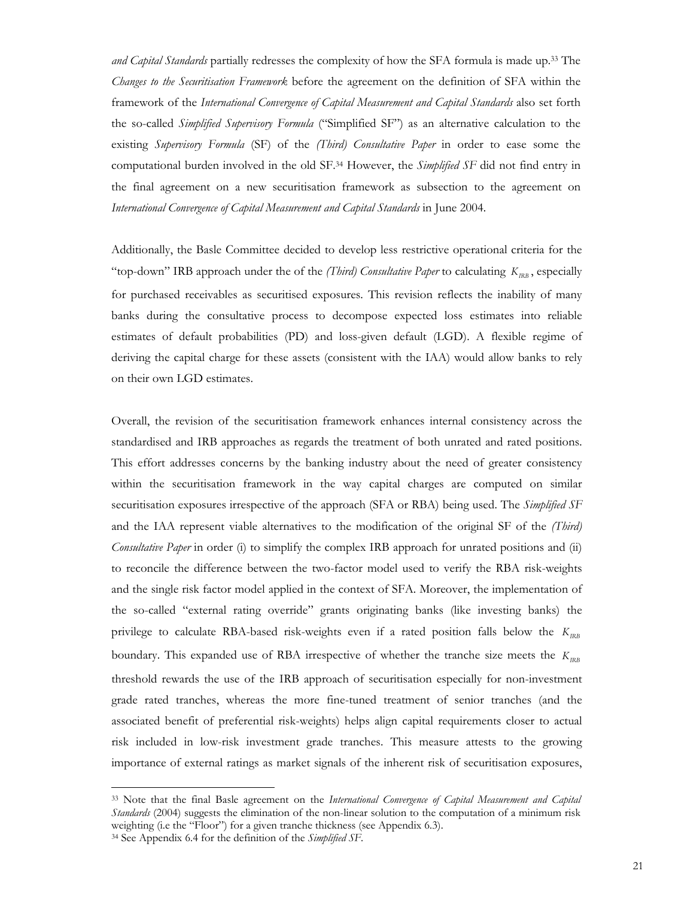*and Capital Standards* partially redresses the complexity of how the SFA formula is made up.33 The *Changes to the Securitisation Framework* before the agreement on the definition of SFA within the framework of the *International Convergence of Capital Measurement and Capital Standards* also set forth the so-called *Simplified Supervisory Formula* ("Simplified SF") as an alternative calculation to the existing *Supervisory Formula* (SF) of the *(Third) Consultative Paper* in order to ease some the computational burden involved in the old SF.34 However, the *Simplified SF* did not find entry in the final agreement on a new securitisation framework as subsection to the agreement on *International Convergence of Capital Measurement and Capital Standards* in June 2004.

Additionally, the Basle Committee decided to develop less restrictive operational criteria for the "top-down" IRB approach under the of the *(Third) Consultative Paper* to calculating  $K_{IRB}$ , especially for purchased receivables as securitised exposures. This revision reflects the inability of many banks during the consultative process to decompose expected loss estimates into reliable estimates of default probabilities (PD) and loss-given default (LGD). A flexible regime of deriving the capital charge for these assets (consistent with the IAA) would allow banks to rely on their own LGD estimates.

Overall, the revision of the securitisation framework enhances internal consistency across the standardised and IRB approaches as regards the treatment of both unrated and rated positions. This effort addresses concerns by the banking industry about the need of greater consistency within the securitisation framework in the way capital charges are computed on similar securitisation exposures irrespective of the approach (SFA or RBA) being used. The *Simplified SF* and the IAA represent viable alternatives to the modification of the original SF of the *(Third) Consultative Paper* in order (i) to simplify the complex IRB approach for unrated positions and (ii) to reconcile the difference between the two-factor model used to verify the RBA risk-weights and the single risk factor model applied in the context of SFA. Moreover, the implementation of the so-called "external rating override" grants originating banks (like investing banks) the privilege to calculate RBA-based risk-weights even if a rated position falls below the  $K_{IRB}$ boundary. This expanded use of RBA irrespective of whether the tranche size meets the  $K_{IRB}$ threshold rewards the use of the IRB approach of securitisation especially for non-investment grade rated tranches, whereas the more fine-tuned treatment of senior tranches (and the associated benefit of preferential risk-weights) helps align capital requirements closer to actual risk included in low-risk investment grade tranches. This measure attests to the growing importance of external ratings as market signals of the inherent risk of securitisation exposures,

<sup>33</sup> Note that the final Basle agreement on the *International Convergence of Capital Measurement and Capital Standards* (2004) suggests the elimination of the non-linear solution to the computation of a minimum risk weighting (i.e the "Floor") for a given tranche thickness (see Appendix 6.3).

<sup>34</sup> See Appendix 6.4 for the definition of the *Simplified SF*.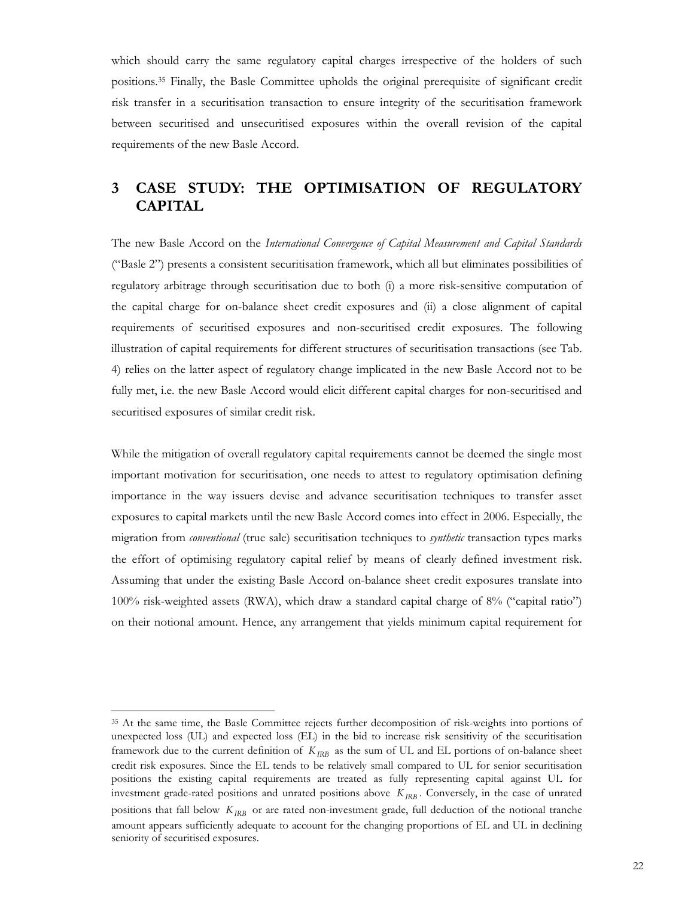which should carry the same regulatory capital charges irrespective of the holders of such positions.35 Finally, the Basle Committee upholds the original prerequisite of significant credit risk transfer in a securitisation transaction to ensure integrity of the securitisation framework between securitised and unsecuritised exposures within the overall revision of the capital requirements of the new Basle Accord.

# **3 CASE STUDY: THE OPTIMISATION OF REGULATORY CAPITAL**

The new Basle Accord on the *International Convergence of Capital Measurement and Capital Standards* ("Basle 2") presents a consistent securitisation framework, which all but eliminates possibilities of regulatory arbitrage through securitisation due to both (i) a more risk-sensitive computation of the capital charge for on-balance sheet credit exposures and (ii) a close alignment of capital requirements of securitised exposures and non-securitised credit exposures. The following illustration of capital requirements for different structures of securitisation transactions (see Tab. 4) relies on the latter aspect of regulatory change implicated in the new Basle Accord not to be fully met, i.e. the new Basle Accord would elicit different capital charges for non-securitised and securitised exposures of similar credit risk.

While the mitigation of overall regulatory capital requirements cannot be deemed the single most important motivation for securitisation, one needs to attest to regulatory optimisation defining importance in the way issuers devise and advance securitisation techniques to transfer asset exposures to capital markets until the new Basle Accord comes into effect in 2006. Especially, the migration from *conventional* (true sale) securitisation techniques to *synthetic* transaction types marks the effort of optimising regulatory capital relief by means of clearly defined investment risk. Assuming that under the existing Basle Accord on-balance sheet credit exposures translate into 100% risk-weighted assets (RWA), which draw a standard capital charge of 8% ("capital ratio") on their notional amount. Hence, any arrangement that yields minimum capital requirement for

<sup>35</sup> At the same time, the Basle Committee rejects further decomposition of risk-weights into portions of unexpected loss (UL) and expected loss (EL) in the bid to increase risk sensitivity of the securitisation framework due to the current definition of *K IRB* as the sum of UL and EL portions of on-balance sheet credit risk exposures. Since the EL tends to be relatively small compared to UL for senior securitisation positions the existing capital requirements are treated as fully representing capital against UL for investment grade-rated positions and unrated positions above *K IRB* . Conversely, in the case of unrated positions that fall below *K IRB* or are rated non-investment grade, full deduction of the notional tranche amount appears sufficiently adequate to account for the changing proportions of EL and UL in declining seniority of securitised exposures.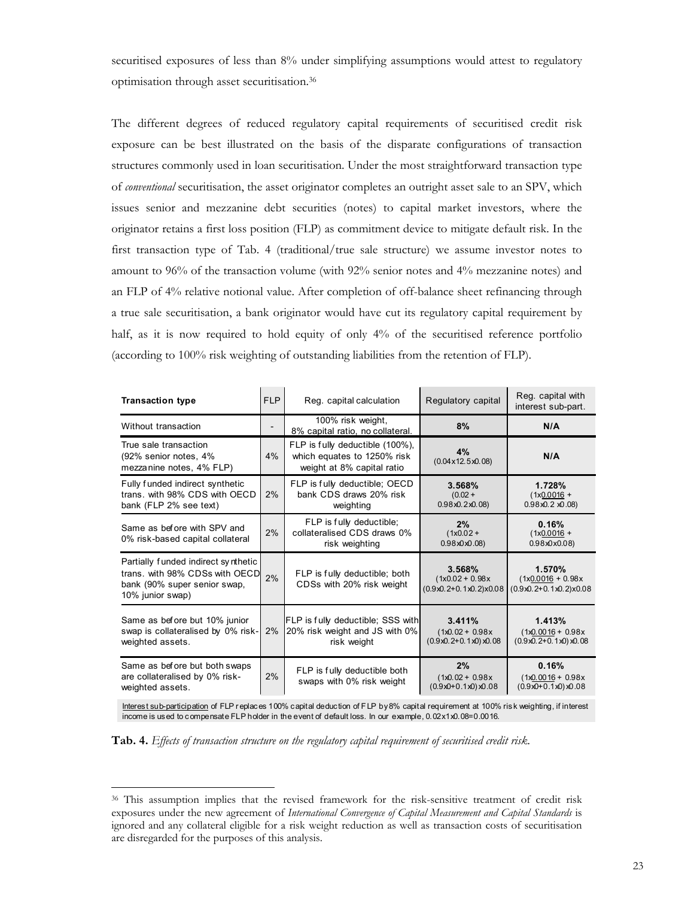securitised exposures of less than 8% under simplifying assumptions would attest to regulatory optimisation through asset securitisation.36

The different degrees of reduced regulatory capital requirements of securitised credit risk exposure can be best illustrated on the basis of the disparate configurations of transaction structures commonly used in loan securitisation. Under the most straightforward transaction type of *conventional* securitisation, the asset originator completes an outright asset sale to an SPV, which issues senior and mezzanine debt securities (notes) to capital market investors, where the originator retains a first loss position (FLP) as commitment device to mitigate default risk. In the first transaction type of Tab. 4 (traditional/true sale structure) we assume investor notes to amount to 96% of the transaction volume (with 92% senior notes and 4% mezzanine notes) and an FLP of 4% relative notional value. After completion of off-balance sheet refinancing through a true sale securitisation, a bank originator would have cut its regulatory capital requirement by half, as it is now required to hold equity of only 4% of the securitised reference portfolio (according to 100% risk weighting of outstanding liabilities from the retention of FLP).

| <b>Transaction type</b>                                                                                                   |    | Reg. capital calculation                                                                     | Regulatory capital                                      | Reg. capital with<br>interest sub-part.                   |
|---------------------------------------------------------------------------------------------------------------------------|----|----------------------------------------------------------------------------------------------|---------------------------------------------------------|-----------------------------------------------------------|
| Without transaction                                                                                                       |    | 100% risk weight,<br>8% capital ratio, no collateral.                                        | 8%                                                      | N/A                                                       |
| True sale transaction<br>(92% senior notes, 4%<br>mezzanine notes, 4% FLP)                                                | 4% | FLP is fully deductible (100%).<br>which equates to 1250% risk<br>weight at 8% capital ratio | 4%<br>$(0.04 \times 12.5 \times 0.08)$                  | N/A                                                       |
| Fully funded indirect synthetic<br>trans, with 98% CDS with OECD<br>bank (FLP 2% see text)                                | 2% | FLP is fully deductible; OECD<br>bank CDS draws 20% risk<br>weighting                        | 3.568%<br>$(0.02 +$<br>$0.98$ x $0.2$ x $0.08$ )        | 1.728%<br>$(1x0.0016 +$<br>$0.98$ x $0.2$ x $0.08$ )      |
| Same as before with SPV and<br>0% risk-based capital collateral                                                           |    | FLP is fully deductible;<br>collateralised CDS draws 0%<br>risk weighting                    | 2%<br>$(1x0.02 +$<br>(80.0x0x0.08)                      | 0.16%<br>$(1x0.0016 +$<br>$0.98 \times 0.08$              |
| Partially funded indirect synthetic<br>trans. with 98% CDSs with OECD<br>bank (90% super senior swap,<br>10% junior swap) | 2% | FLP is fully deductible; both<br>CDSs with 20% risk weight                                   | 3.568%<br>$(1x0.02 + 0.98x$<br>$(0.9x0.2+0.1x0.2)x0.08$ | 1.570%<br>$(1x0.0016 + 0.98x$<br>$(0.9x0.2+0.1x0.2)x0.08$ |
| Same as before but 10% junior<br>swap is collateralised by 0% risk-<br>weighted assets.                                   | 2% | <b>FLP</b> is fully deductible; SSS with<br>20% risk weight and JS with 0%<br>risk weight    | 3.411%<br>$(1x0.02 + 0.98x$<br>$(0.9x0.2+0.1x0)x0.08$   | 1.413%<br>$(1x0.0016 + 0.98x$<br>$(0.9x0.2+0.1x0)x0.08$   |
| Same as before but both swaps<br>are collateralised by 0% risk-<br>weighted assets.                                       | 2% | FLP is fully deductible both<br>swaps with 0% risk weight                                    | 2%<br>$(1x0.02 + 0.98x$<br>$(0.9x0+0.1x0)x0.08$         | 0.16%<br>$(1x0.0016 + 0.98x$<br>$(0.9x0+0.1x0)x0.08$      |

Interest sub-participation of FLP r eplaces 100% capital deduction of F LP by 8% capital requirement at 100% risk weighting, if interest income is used to compensate FLP holder in the event of default loss. In our example, 0.02x1x0.08=0.0016.

**Tab. 4.** *Effects of transaction structure on the regulatory capital requirement of securitised credit risk.*

<sup>&</sup>lt;sup>36</sup> This assumption implies that the revised framework for the risk-sensitive treatment of credit risk exposures under the new agreement of *International Convergence of Capital Measurement and Capital Standards* is ignored and any collateral eligible for a risk weight reduction as well as transaction costs of securitisation are disregarded for the purposes of this analysis.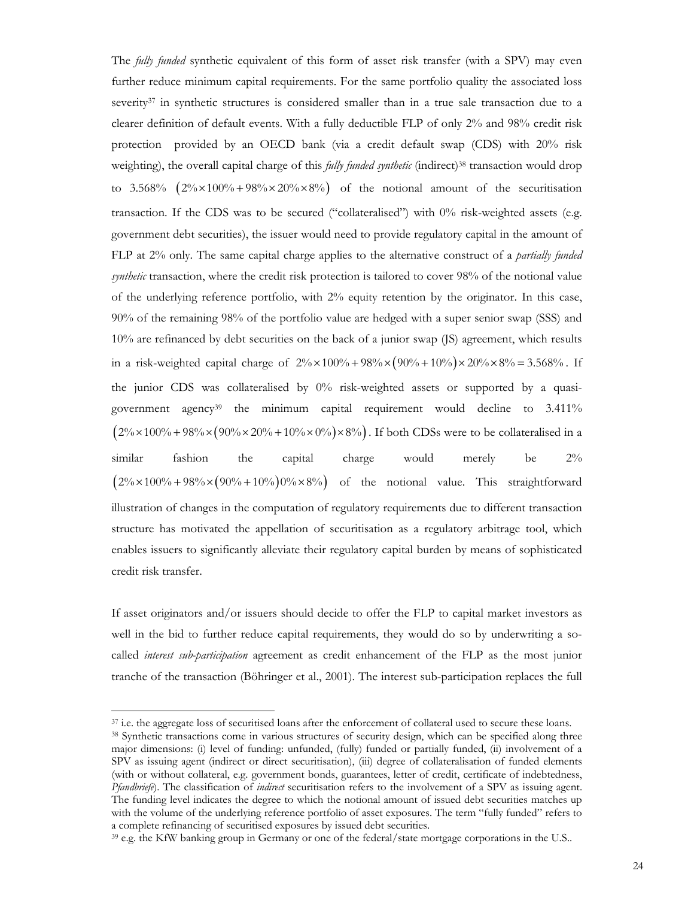The *fully funded* synthetic equivalent of this form of asset risk transfer (with a SPV) may even further reduce minimum capital requirements. For the same portfolio quality the associated loss severity<sup>37</sup> in synthetic structures is considered smaller than in a true sale transaction due to a clearer definition of default events. With a fully deductible FLP of only 2% and 98% credit risk protection provided by an OECD bank (via a credit default swap (CDS) with 20% risk weighting), the overall capital charge of this *fully funded synthetic* (indirect)<sup>38</sup> transaction would drop to 3.568%  $(2\% \times 100\% + 98\% \times 20\% \times 8\%)$  of the notional amount of the securitisation transaction. If the CDS was to be secured ("collateralised") with 0% risk-weighted assets (e.g. government debt securities), the issuer would need to provide regulatory capital in the amount of FLP at 2% only. The same capital charge applies to the alternative construct of a *partially funded synthetic* transaction, where the credit risk protection is tailored to cover 98% of the notional value of the underlying reference portfolio, with 2% equity retention by the originator. In this case, 90% of the remaining 98% of the portfolio value are hedged with a super senior swap (SSS) and 10% are refinanced by debt securities on the back of a junior swap (JS) agreement, which results in a risk-weighted capital charge of  $2\% \times 100\% + 98\% \times (90\% + 10\%) \times 20\% \times 8\% = 3.568\%$ . If the junior CDS was collateralised by  $0\%$  risk-weighted assets or supported by a quasigovernment agency39 the minimum capital requirement would decline to 3.411%  $(2\% \times 100\% + 98\% \times (90\% \times 20\% + 10\% \times 0\%) \times 8\%)$ . If both CDSs were to be collateralised in a similar fashion the capital charge would merely be 2%  $(2\% \times 100\% + 98\% \times (90\% + 10\%) 0\% \times 8\%)$  of the notional value. This straightforward illustration of changes in the computation of regulatory requirements due to different transaction structure has motivated the appellation of securitisation as a regulatory arbitrage tool, which enables issuers to significantly alleviate their regulatory capital burden by means of sophisticated credit risk transfer.

If asset originators and/or issuers should decide to offer the FLP to capital market investors as well in the bid to further reduce capital requirements, they would do so by underwriting a socalled *interest sub-participation* agreement as credit enhancement of the FLP as the most junior tranche of the transaction (Böhringer et al., 2001). The interest sub-participation replaces the full

<sup>37</sup> i.e. the aggregate loss of securitised loans after the enforcement of collateral used to secure these loans.

<sup>38</sup> Synthetic transactions come in various structures of security design, which can be specified along three major dimensions: (i) level of funding: unfunded, (fully) funded or partially funded, (ii) involvement of a SPV as issuing agent (indirect or direct securitisation), (iii) degree of collateralisation of funded elements (with or without collateral, e.g. government bonds, guarantees, letter of credit, certificate of indebtedness, *Pfandbriefe*). The classification of *indirect* securitisation refers to the involvement of a SPV as issuing agent. The funding level indicates the degree to which the notional amount of issued debt securities matches up with the volume of the underlying reference portfolio of asset exposures. The term "fully funded" refers to a complete refinancing of securitised exposures by issued debt securities.

<sup>39</sup> e.g. the KfW banking group in Germany or one of the federal/state mortgage corporations in the U.S..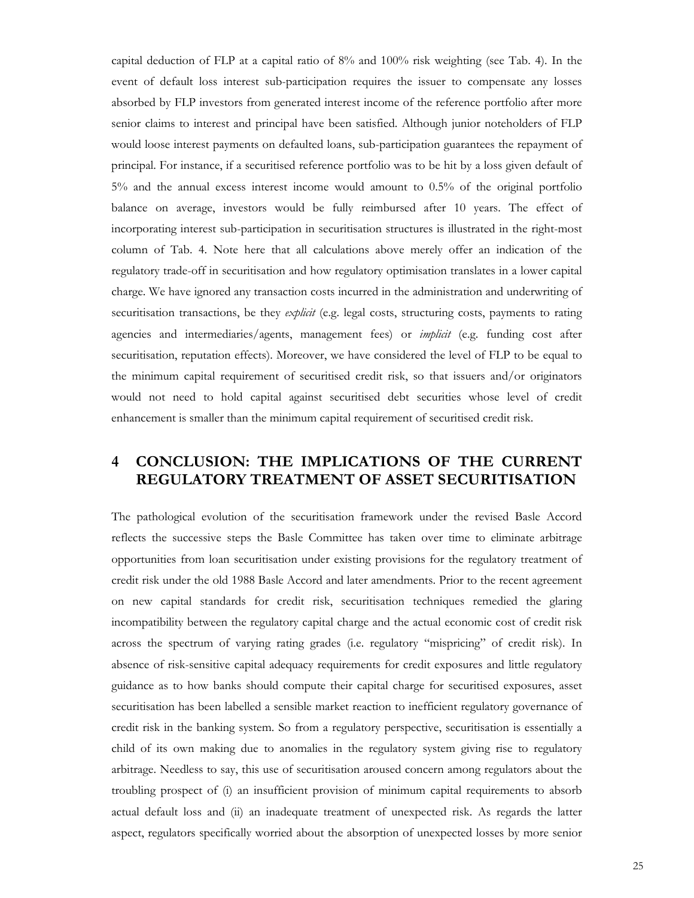capital deduction of FLP at a capital ratio of 8% and 100% risk weighting (see Tab. 4). In the event of default loss interest sub-participation requires the issuer to compensate any losses absorbed by FLP investors from generated interest income of the reference portfolio after more senior claims to interest and principal have been satisfied. Although junior noteholders of FLP would loose interest payments on defaulted loans, sub-participation guarantees the repayment of principal. For instance, if a securitised reference portfolio was to be hit by a loss given default of 5% and the annual excess interest income would amount to 0.5% of the original portfolio balance on average, investors would be fully reimbursed after 10 years. The effect of incorporating interest sub-participation in securitisation structures is illustrated in the right-most column of Tab. 4. Note here that all calculations above merely offer an indication of the regulatory trade-off in securitisation and how regulatory optimisation translates in a lower capital charge. We have ignored any transaction costs incurred in the administration and underwriting of securitisation transactions, be they *explicit* (e.g. legal costs, structuring costs, payments to rating agencies and intermediaries/agents, management fees) or *implicit* (e.g. funding cost after securitisation, reputation effects). Moreover, we have considered the level of FLP to be equal to the minimum capital requirement of securitised credit risk, so that issuers and/or originators would not need to hold capital against securitised debt securities whose level of credit enhancement is smaller than the minimum capital requirement of securitised credit risk.

# **4 CONCLUSION: THE IMPLICATIONS OF THE CURRENT REGULATORY TREATMENT OF ASSET SECURITISATION**

The pathological evolution of the securitisation framework under the revised Basle Accord reflects the successive steps the Basle Committee has taken over time to eliminate arbitrage opportunities from loan securitisation under existing provisions for the regulatory treatment of credit risk under the old 1988 Basle Accord and later amendments. Prior to the recent agreement on new capital standards for credit risk, securitisation techniques remedied the glaring incompatibility between the regulatory capital charge and the actual economic cost of credit risk across the spectrum of varying rating grades (i.e. regulatory "mispricing" of credit risk). In absence of risk-sensitive capital adequacy requirements for credit exposures and little regulatory guidance as to how banks should compute their capital charge for securitised exposures, asset securitisation has been labelled a sensible market reaction to inefficient regulatory governance of credit risk in the banking system. So from a regulatory perspective, securitisation is essentially a child of its own making due to anomalies in the regulatory system giving rise to regulatory arbitrage. Needless to say, this use of securitisation aroused concern among regulators about the troubling prospect of (i) an insufficient provision of minimum capital requirements to absorb actual default loss and (ii) an inadequate treatment of unexpected risk. As regards the latter aspect, regulators specifically worried about the absorption of unexpected losses by more senior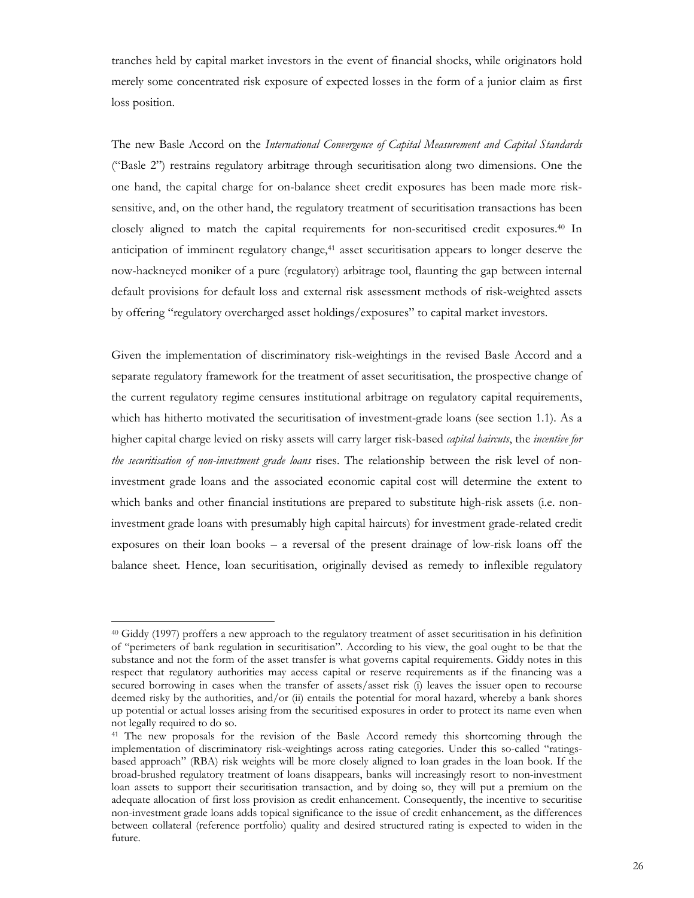tranches held by capital market investors in the event of financial shocks, while originators hold merely some concentrated risk exposure of expected losses in the form of a junior claim as first loss position.

The new Basle Accord on the *International Convergence of Capital Measurement and Capital Standards* ("Basle 2") restrains regulatory arbitrage through securitisation along two dimensions. One the one hand, the capital charge for on-balance sheet credit exposures has been made more risksensitive, and, on the other hand, the regulatory treatment of securitisation transactions has been closely aligned to match the capital requirements for non-securitised credit exposures.40 In anticipation of imminent regulatory change,<sup>41</sup> asset securitisation appears to longer deserve the now-hackneyed moniker of a pure (regulatory) arbitrage tool, flaunting the gap between internal default provisions for default loss and external risk assessment methods of risk-weighted assets by offering "regulatory overcharged asset holdings/exposures" to capital market investors.

Given the implementation of discriminatory risk-weightings in the revised Basle Accord and a separate regulatory framework for the treatment of asset securitisation, the prospective change of the current regulatory regime censures institutional arbitrage on regulatory capital requirements, which has hitherto motivated the securitisation of investment-grade loans (see section 1.1). As a higher capital charge levied on risky assets will carry larger risk-based *capital haircuts*, the *incentive for the securitisation of non-investment grade loans* rises. The relationship between the risk level of noninvestment grade loans and the associated economic capital cost will determine the extent to which banks and other financial institutions are prepared to substitute high-risk assets (i.e. noninvestment grade loans with presumably high capital haircuts) for investment grade-related credit exposures on their loan books – a reversal of the present drainage of low-risk loans off the balance sheet. Hence, loan securitisation, originally devised as remedy to inflexible regulatory

<sup>40</sup> Giddy (1997) proffers a new approach to the regulatory treatment of asset securitisation in his definition of "perimeters of bank regulation in securitisation". According to his view, the goal ought to be that the substance and not the form of the asset transfer is what governs capital requirements. Giddy notes in this respect that regulatory authorities may access capital or reserve requirements as if the financing was a secured borrowing in cases when the transfer of assets/asset risk (i) leaves the issuer open to recourse deemed risky by the authorities, and/or (ii) entails the potential for moral hazard, whereby a bank shores up potential or actual losses arising from the securitised exposures in order to protect its name even when not legally required to do so.

<sup>41</sup> The new proposals for the revision of the Basle Accord remedy this shortcoming through the implementation of discriminatory risk-weightings across rating categories. Under this so-called "ratingsbased approach" (RBA) risk weights will be more closely aligned to loan grades in the loan book. If the broad-brushed regulatory treatment of loans disappears, banks will increasingly resort to non-investment loan assets to support their securitisation transaction, and by doing so, they will put a premium on the adequate allocation of first loss provision as credit enhancement. Consequently, the incentive to securitise non-investment grade loans adds topical significance to the issue of credit enhancement, as the differences between collateral (reference portfolio) quality and desired structured rating is expected to widen in the future.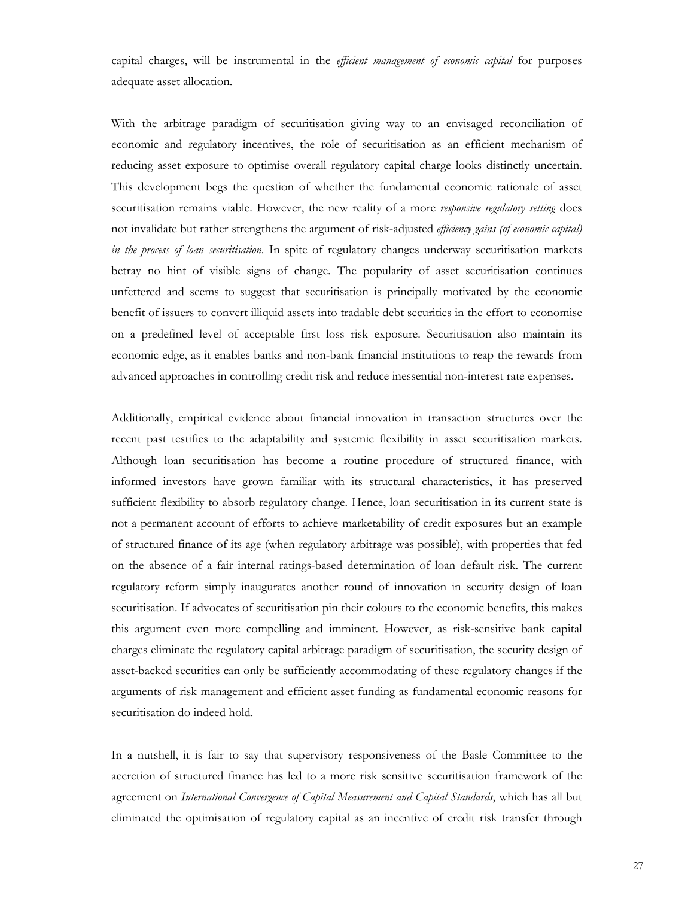capital charges, will be instrumental in the *efficient management of economic capital* for purposes adequate asset allocation.

With the arbitrage paradigm of securitisation giving way to an envisaged reconciliation of economic and regulatory incentives, the role of securitisation as an efficient mechanism of reducing asset exposure to optimise overall regulatory capital charge looks distinctly uncertain. This development begs the question of whether the fundamental economic rationale of asset securitisation remains viable. However, the new reality of a more *responsive regulatory setting* does not invalidate but rather strengthens the argument of risk-adjusted *efficiency gains (of economic capital) in the process of loan securitisation*. In spite of regulatory changes underway securitisation markets betray no hint of visible signs of change. The popularity of asset securitisation continues unfettered and seems to suggest that securitisation is principally motivated by the economic benefit of issuers to convert illiquid assets into tradable debt securities in the effort to economise on a predefined level of acceptable first loss risk exposure. Securitisation also maintain its economic edge, as it enables banks and non-bank financial institutions to reap the rewards from advanced approaches in controlling credit risk and reduce inessential non-interest rate expenses.

Additionally, empirical evidence about financial innovation in transaction structures over the recent past testifies to the adaptability and systemic flexibility in asset securitisation markets. Although loan securitisation has become a routine procedure of structured finance, with informed investors have grown familiar with its structural characteristics, it has preserved sufficient flexibility to absorb regulatory change. Hence, loan securitisation in its current state is not a permanent account of efforts to achieve marketability of credit exposures but an example of structured finance of its age (when regulatory arbitrage was possible), with properties that fed on the absence of a fair internal ratings-based determination of loan default risk. The current regulatory reform simply inaugurates another round of innovation in security design of loan securitisation. If advocates of securitisation pin their colours to the economic benefits, this makes this argument even more compelling and imminent. However, as risk-sensitive bank capital charges eliminate the regulatory capital arbitrage paradigm of securitisation, the security design of asset-backed securities can only be sufficiently accommodating of these regulatory changes if the arguments of risk management and efficient asset funding as fundamental economic reasons for securitisation do indeed hold.

In a nutshell, it is fair to say that supervisory responsiveness of the Basle Committee to the accretion of structured finance has led to a more risk sensitive securitisation framework of the agreement on *International Convergence of Capital Measurement and Capital Standards*, which has all but eliminated the optimisation of regulatory capital as an incentive of credit risk transfer through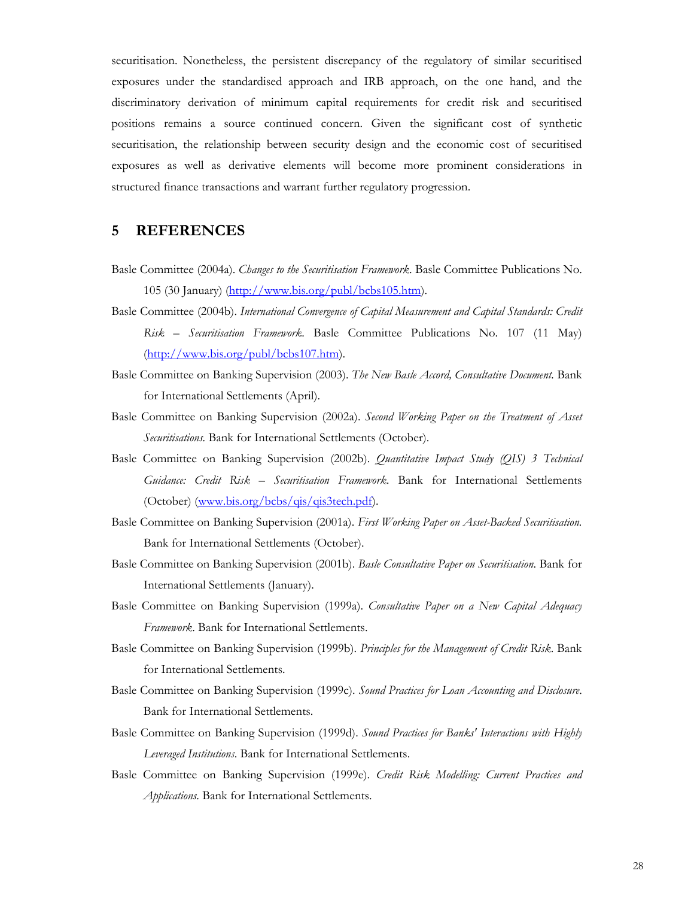securitisation. Nonetheless, the persistent discrepancy of the regulatory of similar securitised exposures under the standardised approach and IRB approach, on the one hand, and the discriminatory derivation of minimum capital requirements for credit risk and securitised positions remains a source continued concern. Given the significant cost of synthetic securitisation, the relationship between security design and the economic cost of securitised exposures as well as derivative elements will become more prominent considerations in structured finance transactions and warrant further regulatory progression.

# **5 REFERENCES**

- Basle Committee (2004a). *Changes to the Securitisation Framework*. Basle Committee Publications No. 105 (30 January) (http://www.bis.org/publ/bcbs105.htm).
- Basle Committee (2004b). *International Convergence of Capital Measurement and Capital Standards: Credit Risk – Securitisation Framework*. Basle Committee Publications No. 107 (11 May) (http://www.bis.org/publ/bcbs107.htm).
- Basle Committee on Banking Supervision (2003). *The New Basle Accord, Consultative Document.* Bank for International Settlements (April).
- Basle Committee on Banking Supervision (2002a). *Second Working Paper on the Treatment of Asset Securitisations.* Bank for International Settlements (October).
- Basle Committee on Banking Supervision (2002b). *Quantitative Impact Study (QIS) 3 Technical Guidance: Credit Risk – Securitisation Framework.* Bank for International Settlements (October) (www.bis.org/bcbs/qis/qis3tech.pdf).
- Basle Committee on Banking Supervision (2001a). *First Working Paper on Asset-Backed Securitisation.* Bank for International Settlements (October).
- Basle Committee on Banking Supervision (2001b). *Basle Consultative Paper on Securitisation*. Bank for International Settlements (January).
- Basle Committee on Banking Supervision (1999a). *Consultative Paper on a New Capital Adequacy Framework*. Bank for International Settlements.
- Basle Committee on Banking Supervision (1999b). *Principles for the Management of Credit Risk*. Bank for International Settlements.
- Basle Committee on Banking Supervision (1999c). *Sound Practices for Loan Accounting and Disclosure*. Bank for International Settlements.
- Basle Committee on Banking Supervision (1999d). *Sound Practices for Banks' Interactions with Highly Leveraged Institutions*. Bank for International Settlements.
- Basle Committee on Banking Supervision (1999e). *Credit Risk Modelling: Current Practices and Applications*. Bank for International Settlements.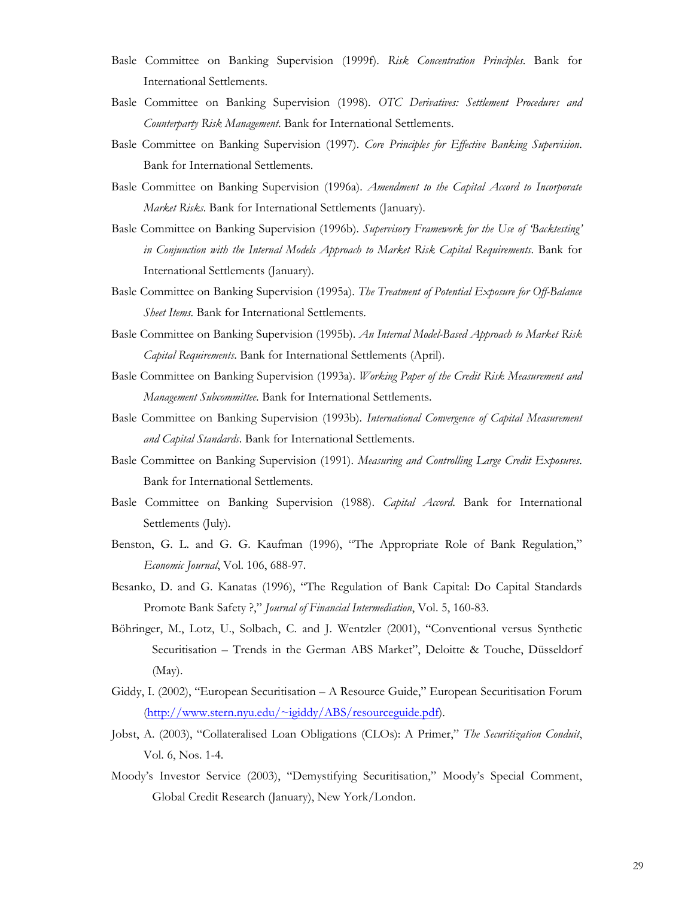- Basle Committee on Banking Supervision (1999f). *Risk Concentration Principles*. Bank for International Settlements.
- Basle Committee on Banking Supervision (1998). *OTC Derivatives: Settlement Procedures and Counterparty Risk Management*. Bank for International Settlements.
- Basle Committee on Banking Supervision (1997). *Core Principles for Effective Banking Supervision*. Bank for International Settlements.
- Basle Committee on Banking Supervision (1996a). *Amendment to the Capital Accord to Incorporate Market Risks*. Bank for International Settlements (January).
- Basle Committee on Banking Supervision (1996b). *Supervisory Framework for the Use of 'Backtesting' in Conjunction with the Internal Models Approach to Market Risk Capital Requirements*. Bank for International Settlements (January).
- Basle Committee on Banking Supervision (1995a). *The Treatment of Potential Exposure for Off-Balance Sheet Items*. Bank for International Settlements.
- Basle Committee on Banking Supervision (1995b). *An Internal Model-Based Approach to Market Risk Capital Requirements*. Bank for International Settlements (April).
- Basle Committee on Banking Supervision (1993a). *Working Paper of the Credit Risk Measurement and Management Subcommittee*. Bank for International Settlements.
- Basle Committee on Banking Supervision (1993b). *International Convergence of Capital Measurement and Capital Standards*. Bank for International Settlements.
- Basle Committee on Banking Supervision (1991). *Measuring and Controlling Large Credit Exposures*. Bank for International Settlements.
- Basle Committee on Banking Supervision (1988). *Capital Accord*. Bank for International Settlements (July).
- Benston, G. L. and G. G. Kaufman (1996), "The Appropriate Role of Bank Regulation," *Economic Journal*, Vol. 106, 688-97.
- Besanko, D. and G. Kanatas (1996), "The Regulation of Bank Capital: Do Capital Standards Promote Bank Safety ?," *Journal of Financial Intermediation*, Vol. 5, 160-83.
- Böhringer, M., Lotz, U., Solbach, C. and J. Wentzler (2001), "Conventional versus Synthetic Securitisation – Trends in the German ABS Market", Deloitte & Touche, Düsseldorf (May).
- Giddy, I. (2002), "European Securitisation A Resource Guide," European Securitisation Forum (http://www.stern.nyu.edu/~igiddy/ABS/resourceguide.pdf).
- Jobst, A. (2003), "Collateralised Loan Obligations (CLOs): A Primer," *The Securitization Conduit*, Vol. 6, Nos. 1-4.
- Moody's Investor Service (2003), "Demystifying Securitisation," Moody's Special Comment, Global Credit Research (January), New York/London.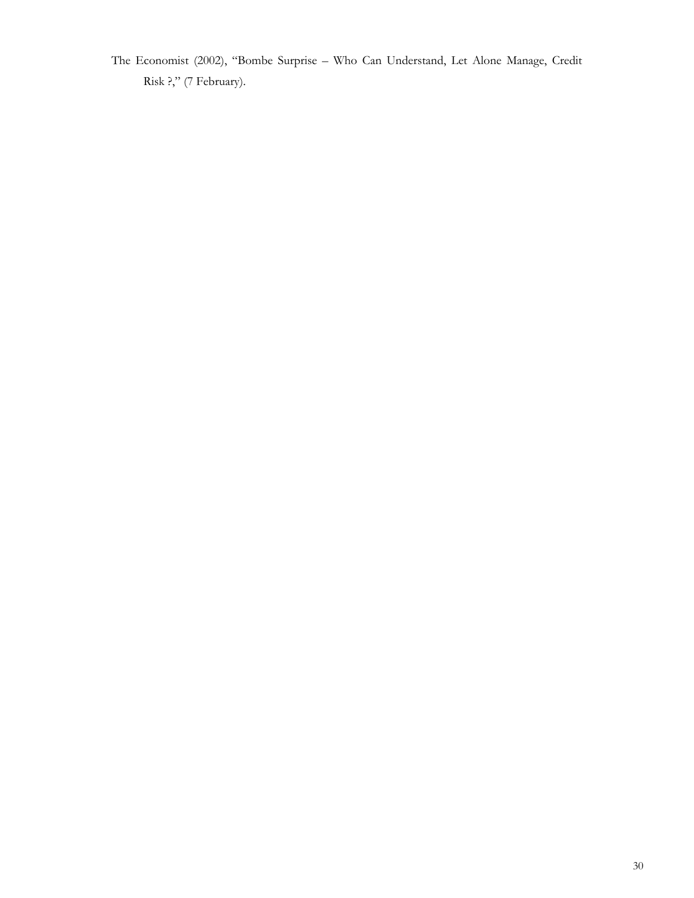The Economist (2002), "Bombe Surprise – Who Can Understand, Let Alone Manage, Credit Risk ?," (7 February).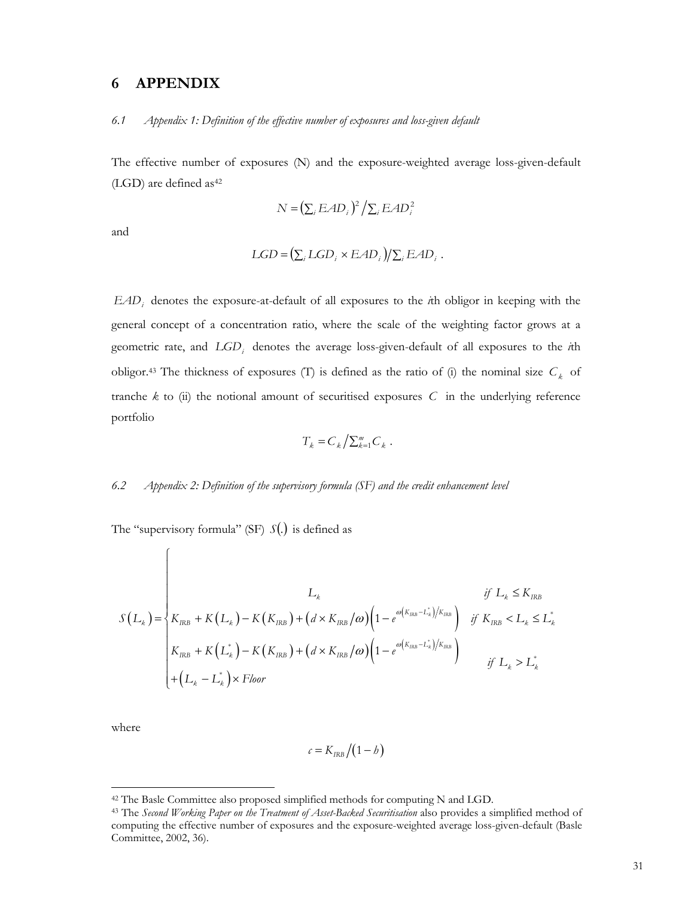# **6 APPENDIX**

### *6.1 Appendix 1: Definition of the effective number of exposures and loss-given default*

The effective number of exposures (N) and the exposure-weighted average loss-given-default (LGD) are defined as<sup>42</sup>

$$
N = \left(\sum_{i} EAD_{i}\right)^{2} / \sum_{i} EAD_{i}^{2}
$$

and

$$
LGD = \left(\sum_{i} LGD_{i} \times EAD_{i}\right) / \sum_{i} EAD_{i}.
$$

*EAD<sub>i</sub>* denotes the exposure-at-default of all exposures to the *i*th obligor in keeping with the general concept of a concentration ratio, where the scale of the weighting factor grows at a geometric rate, and *LGDi* denotes the average loss-given-default of all exposures to the *i*th obligor.<sup>43</sup> The thickness of exposures (T) is defined as the ratio of (i) the nominal size  $C_k$  of tranche  $k$  to (ii) the notional amount of securitised exposures  $C$  in the underlying reference portfolio

$$
T_k = C_k / \sum_{k=1}^m C_k.
$$

### *6.2 Appendix 2: Definition of the supervisory formula (SF) and the credit enhancement level*

The "supervisory formula" (SF)  $S(.)$  is defined as

 $\int$ 

$$
S(L_{k}) = \begin{cases} L_{k} & \text{if } L_{k} \leq K_{IRB} \\ K_{IRB} + K(L_{k}) - K(K_{IRB}) + (d \times K_{IRB}/\omega) \left(1 - e^{\omega(K_{IRB} - L_{k})/K_{IRB}}\right) & \text{if } K_{IRB} < L_{k} \leq L_{k}^{*} \\ K_{IRB} + K(L_{k}^{*}) - K(K_{IRB}) + (d \times K_{IRB}/\omega) \left(1 - e^{\omega(K_{IRB} - L_{k}^{*})/K_{IRB}}\right) & \text{if } L_{k} > L_{k}^{*} \\ + (L_{k} - L_{k}^{*}) \times Floor \end{cases}
$$

where

$$
c = K_{IRB}/(1-b)
$$

<sup>42</sup> The Basle Committee also proposed simplified methods for computing N and LGD.

<sup>43</sup> The *Second Working Paper on the Treatment of Asset-Backed Securitisation* also provides a simplified method of computing the effective number of exposures and the exposure-weighted average loss-given-default (Basle Committee, 2002, 36).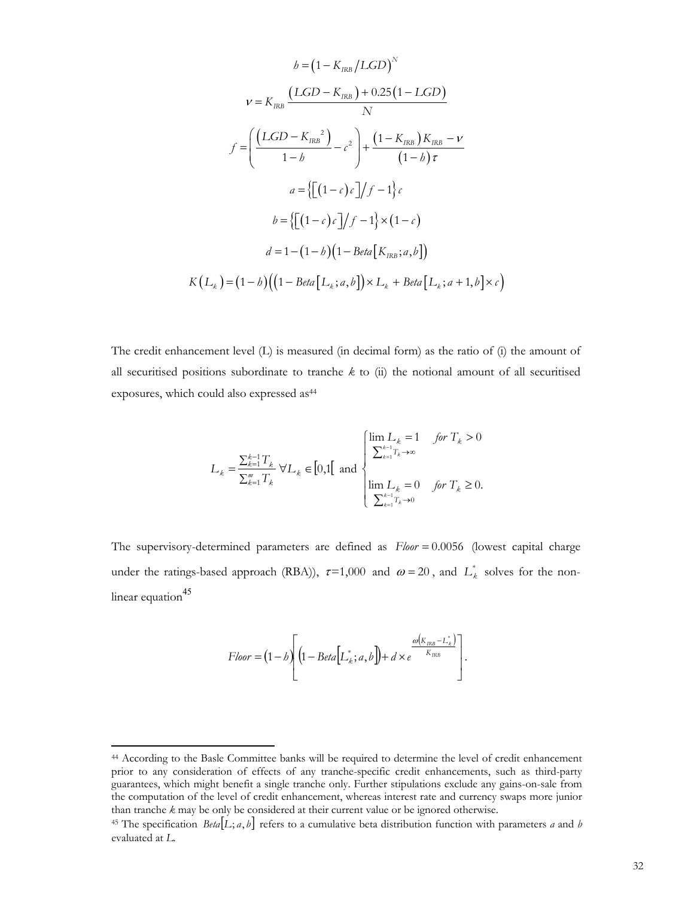$$
b = (1 - K_{IRB} / LGD)^{N}
$$
  
\n
$$
v = K_{IRB} \frac{(LGD - K_{IRB}) + 0.25(1 - LGD)}{N}
$$
  
\n
$$
f = \left(\frac{(LGD - K_{IRB})^2}{1 - b} - c^2\right) + \frac{(1 - K_{IRB})K_{IRB} - v}{(1 - b)\tau}
$$
  
\n
$$
a = \{[(1 - c)c]/f - 1\}c
$$
  
\n
$$
b = \{[(1 - c)c]/f - 1\} \times (1 - c)
$$
  
\n
$$
d = 1 - (1 - b)(1 - Beta[K_{IRB}; a, b])
$$
  
\n
$$
K(L_k) = (1 - b)\left((1 - Beta[L_k; a, b]) \times L_k + Beta[L_k; a + 1, b] \times c\right)
$$

The credit enhancement level (L) is measured (in decimal form) as the ratio of (i) the amount of all securitised positions subordinate to tranche *k* to (ii) the notional amount of all securitised exposures, which could also expressed as<sup>44</sup>

$$
L_k = \frac{\sum_{k=1}^{k-1} T_k}{\sum_{k=1}^m T_k} \ \forall L_k \in [0,1[ \text{ and } \left\{ \begin{aligned} &\left| \underset{\sum_{k=1}^{k-1} T_k \rightarrow \infty}{\sum_{k=1}^{k-1} T_k \rightarrow \infty}} \ f \text{ or } T_k > 0 \\ &\text{lim } L_k &= 0 \quad \text{for } T_k \geq 0. \\ &\left\{ \sum_{k=1}^{k-1} T_k \rightarrow 0} \right. \end{aligned} \right.
$$

The supervisory-determined parameters are defined as *Floor* = 0.0056 (lowest capital charge under the ratings-based approach (RBA)),  $\tau=1,000$  and  $\omega=20$ , and  $L_k^*$  solves for the nonlinear equation<sup>45</sup>

$$
Floor = (1-b)\left[ (1 - Beta[L_{k}^{*}; a, b]) + d \times e^{\frac{\omega(K_{RB} - L_{k}^{*})}{K_{RB}}}\right].
$$

<sup>44</sup> According to the Basle Committee banks will be required to determine the level of credit enhancement prior to any consideration of effects of any tranche-specific credit enhancements, such as third-party guarantees, which might benefit a single tranche only. Further stipulations exclude any gains-on-sale from the computation of the level of credit enhancement, whereas interest rate and currency swaps more junior than tranche *k* may be only be considered at their current value or be ignored otherwise.

<sup>&</sup>lt;sup>45</sup> The specification *Beta*[ $L; a, b$ ] refers to a cumulative beta distribution function with parameters *a* and *b* evaluated at *L*.